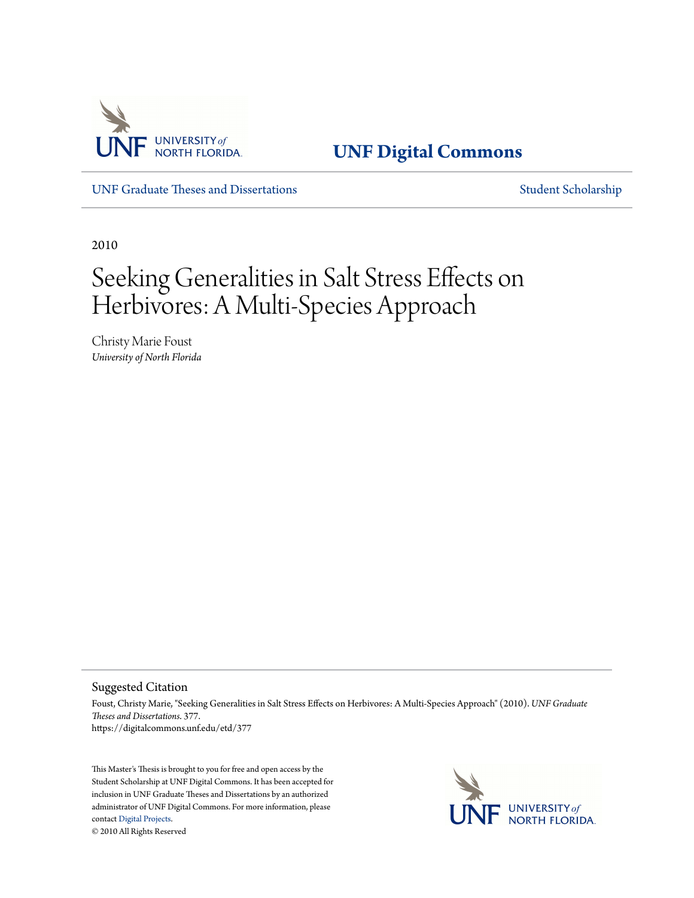

**[UNF Digital Commons](https://digitalcommons.unf.edu)**

[UNF Graduate Theses and Dissertations](https://digitalcommons.unf.edu/etd) [Student Scholarship](https://digitalcommons.unf.edu/student_scholars)

2010

# Seeking Generalities in Salt Stress Effects on Herbivores: A Multi-Species Approach

Christy Marie Foust *University of North Florida*

Suggested Citation

Foust, Christy Marie, "Seeking Generalities in Salt Stress Effects on Herbivores: A Multi-Species Approach" (2010). *UNF Graduate Theses and Dissertations*. 377. https://digitalcommons.unf.edu/etd/377

This Master's Thesis is brought to you for free and open access by the Student Scholarship at UNF Digital Commons. It has been accepted for inclusion in UNF Graduate Theses and Dissertations by an authorized administrator of UNF Digital Commons. For more information, please contact [Digital Projects.](mailto:lib-digital@unf.edu) © 2010 All Rights Reserved

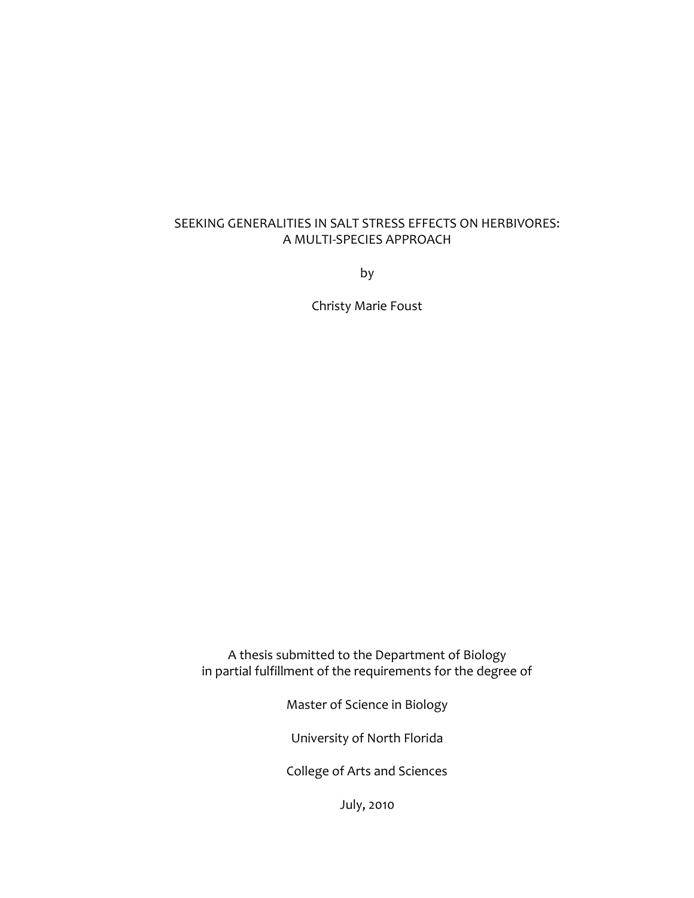# SEEKING GENERALITIES IN SALT STRESS EFFECTS ON HERBIVORES: A MULTI-SPECIES APPROACH

by

Christy Marie Foust

A thesis submitted to the Department of Biology in partial fulfillment of the requirements for the degree of

Master of Science in Biology

University of North Florida

College of Arts and Sciences

July, 2010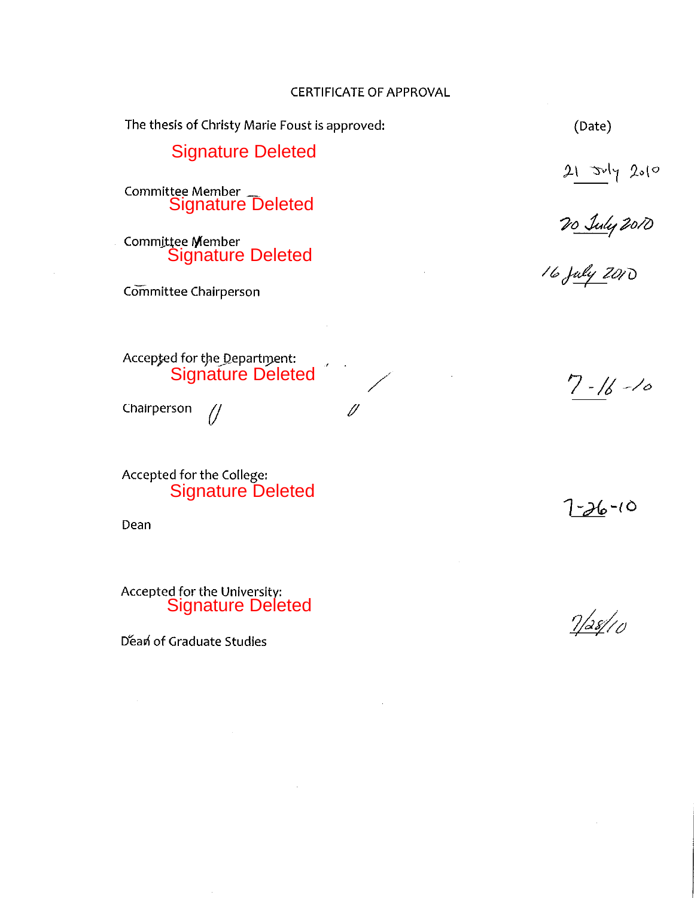#### **CERTIFICATE OF APPROVAL**

The thesis of Christy Marie Foust is approved: (Date) Signature Deleted 21 July 2010<br>20 July 2010<br>16 July 2010 Committee Member<br>Signature Deleted Committee Member Signature Deleted Committee Chairperson Accepted for the Department: Signature Deleted  $7 - 16 - 10$ Chairperson  $\mathscr Y$ 11

Accepted for the College: Signature Deleted

Dean

Accepted for the University:<br>Signature Deleted

Déan of Graduate Studies

 $7/38/10$ 

 $7 - 26 - 10$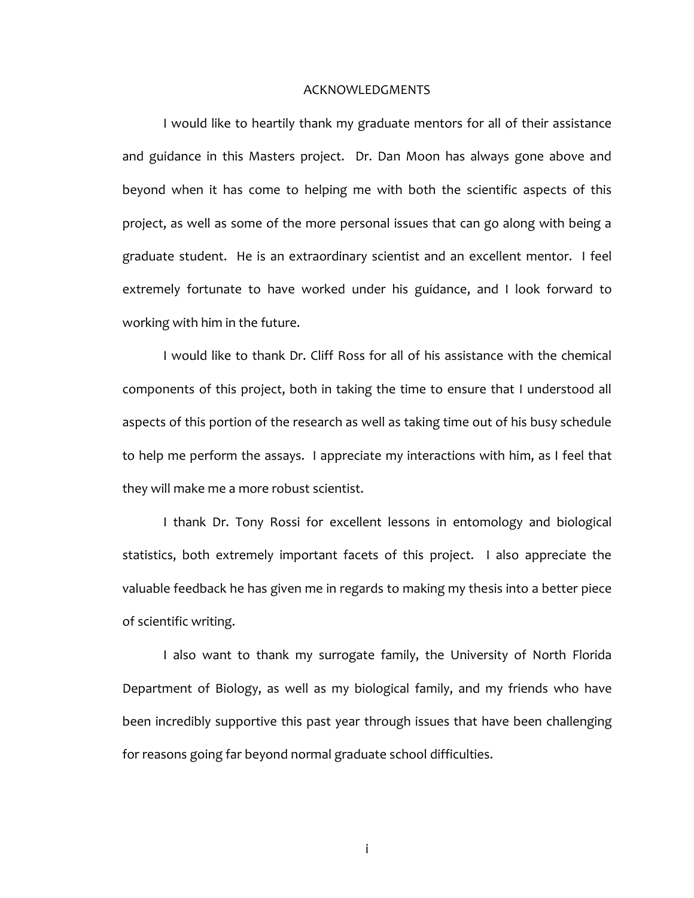#### ACKNOWLEDGMENTS

I would like to heartily thank my graduate mentors for all of their assistance and guidance in this Masters project. Dr. Dan Moon has always gone above and beyond when it has come to helping me with both the scientific aspects of this project, as well as some of the more personal issues that can go along with being a graduate student. He is an extraordinary scientist and an excellent mentor. I feel extremely fortunate to have worked under his guidance, and I look forward to working with him in the future.

I would like to thank Dr. Cliff Ross for all of his assistance with the chemical components of this project, both in taking the time to ensure that I understood all aspects of this portion of the research as well as taking time out of his busy schedule to help me perform the assays. I appreciate my interactions with him, as I feel that they will make me a more robust scientist.

I thank Dr. Tony Rossi for excellent lessons in entomology and biological statistics, both extremely important facets of this project. I also appreciate the valuable feedback he has given me in regards to making my thesis into a better piece of scientific writing.

I also want to thank my surrogate family, the University of North Florida Department of Biology, as well as my biological family, and my friends who have been incredibly supportive this past year through issues that have been challenging for reasons going far beyond normal graduate school difficulties.

i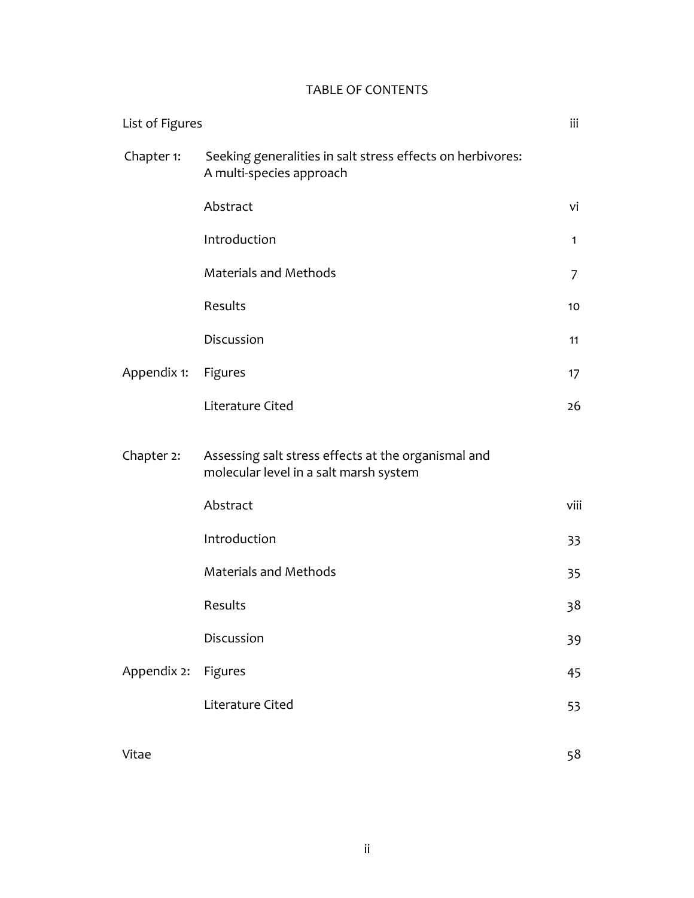# TABLE OF CONTENTS

| List of Figures |                                                                                               |              |
|-----------------|-----------------------------------------------------------------------------------------------|--------------|
| Chapter 1:      | Seeking generalities in salt stress effects on herbivores:<br>A multi-species approach        |              |
|                 | Abstract                                                                                      | vi           |
|                 | Introduction                                                                                  | $\mathbf{1}$ |
|                 | <b>Materials and Methods</b>                                                                  | 7            |
|                 | Results                                                                                       | 10           |
|                 | Discussion                                                                                    | 11           |
| Appendix 1:     | Figures                                                                                       | 17           |
|                 | Literature Cited                                                                              | 26           |
| Chapter 2:      | Assessing salt stress effects at the organismal and<br>molecular level in a salt marsh system |              |
|                 | Abstract                                                                                      | viii         |
|                 | Introduction                                                                                  | 33           |
|                 | <b>Materials and Methods</b>                                                                  | 35           |
|                 | Results                                                                                       | 38           |
|                 | Discussion                                                                                    | 39           |
| Appendix 2:     | Figures                                                                                       | 45           |
|                 | Literature Cited                                                                              | 53           |
| Vitae           |                                                                                               | 58           |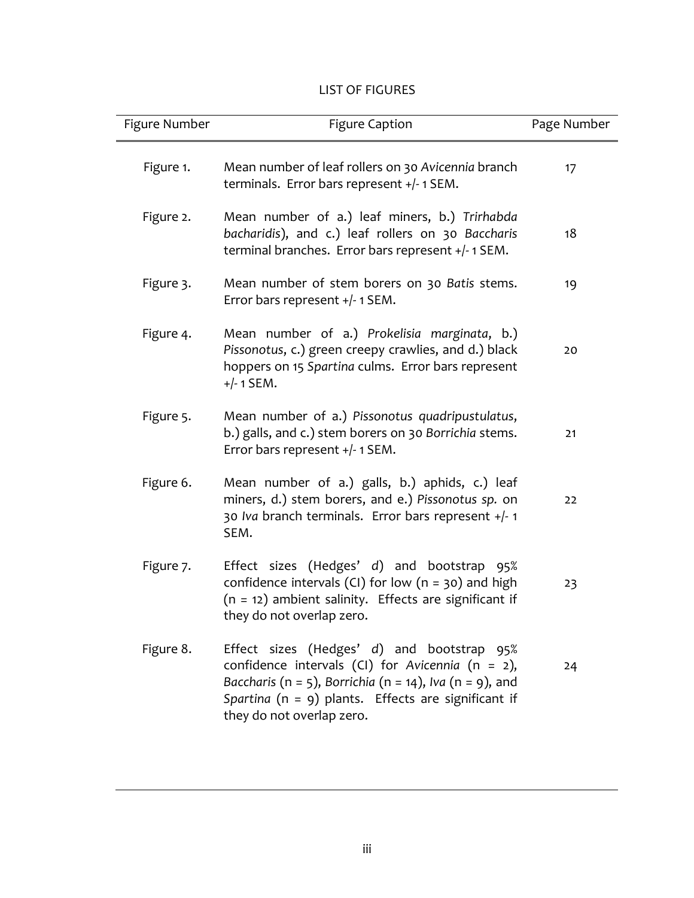# LIST OF FIGURES

| Figure Number | <b>Figure Caption</b>                                                                                                                                                                                                                                 | Page Number |
|---------------|-------------------------------------------------------------------------------------------------------------------------------------------------------------------------------------------------------------------------------------------------------|-------------|
| Figure 1.     | Mean number of leaf rollers on 30 Avicennia branch<br>terminals. Error bars represent +/-1 SEM.                                                                                                                                                       | 17          |
| Figure 2.     | Mean number of a.) leaf miners, b.) Trirhabda<br>bacharidis), and c.) leaf rollers on 30 Baccharis<br>terminal branches. Error bars represent +/-1 SEM.                                                                                               | 18          |
| Figure 3.     | Mean number of stem borers on 30 Batis stems.<br>Error bars represent $+/- 1$ SEM.                                                                                                                                                                    | 19          |
| Figure 4.     | Mean number of a.) Prokelisia marginata, b.)<br>Pissonotus, c.) green creepy crawlies, and d.) black<br>hoppers on 15 Spartina culms. Error bars represent<br>$+/- 1$ SEM.                                                                            | 20          |
| Figure 5.     | Mean number of a.) Pissonotus quadripustulatus,<br>b.) galls, and c.) stem borers on 30 Borrichia stems.<br>Error bars represent +/- 1 SEM.                                                                                                           | 21          |
| Figure 6.     | Mean number of a.) galls, b.) aphids, c.) leaf<br>miners, d.) stem borers, and e.) Pissonotus sp. on<br>30 Iva branch terminals. Error bars represent +/- 1<br>SEM.                                                                                   | 22          |
| Figure 7.     | Effect sizes (Hedges' d) and bootstrap 95%<br>confidence intervals (CI) for low $(n = 30)$ and high<br>$(n = 12)$ ambient salinity. Effects are significant if<br>they do not overlap zero.                                                           | 23          |
| Figure 8.     | Effect sizes (Hedges' d) and bootstrap 95%<br>confidence intervals (CI) for Avicennia ( $n = 2$ ),<br>Baccharis (n = 5), Borrichia (n = 14), Iva (n = 9), and<br>Spartina ( $n = 9$ ) plants. Effects are significant if<br>they do not overlap zero. | 24          |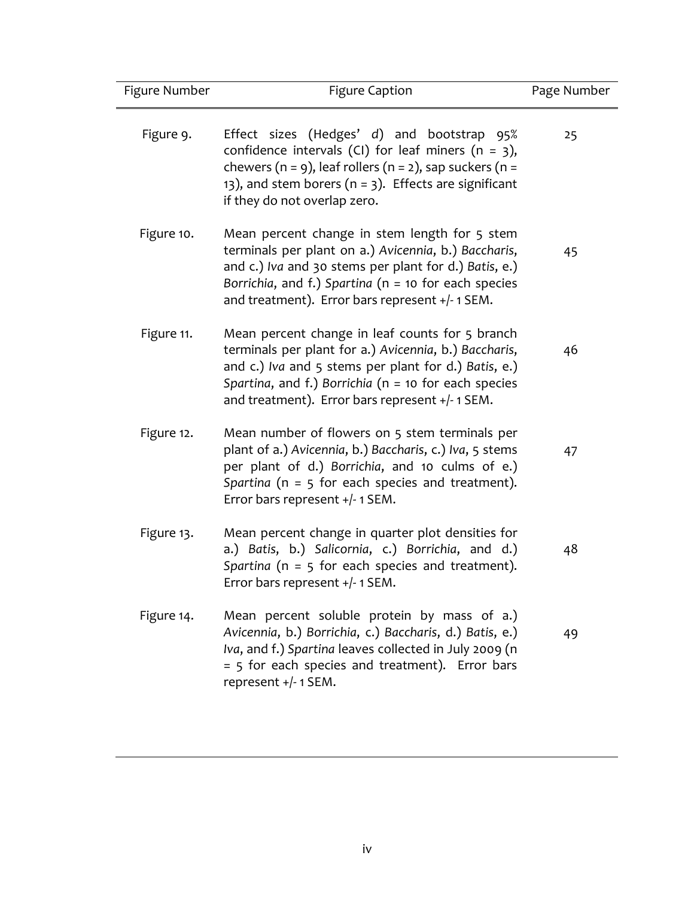| Figure Number | <b>Figure Caption</b>                                                                                                                                                                                                                                                         | Page Number |
|---------------|-------------------------------------------------------------------------------------------------------------------------------------------------------------------------------------------------------------------------------------------------------------------------------|-------------|
| Figure 9.     | Effect sizes (Hedges' d) and bootstrap 95%<br>confidence intervals (CI) for leaf miners ( $n = 3$ ),<br>chewers ( $n = 9$ ), leaf rollers ( $n = 2$ ), sap suckers ( $n =$<br>13), and stem borers ( $n = 3$ ). Effects are significant<br>if they do not overlap zero.       | 25          |
| Figure 10.    | Mean percent change in stem length for 5 stem<br>terminals per plant on a.) Avicennia, b.) Baccharis,<br>and c.) Iva and 30 stems per plant for d.) Batis, e.)<br>Borrichia, and f.) Spartina ( $n = 10$ for each species<br>and treatment). Error bars represent +/-1 SEM.   | 45          |
| Figure 11.    | Mean percent change in leaf counts for 5 branch<br>terminals per plant for a.) Avicennia, b.) Baccharis,<br>and c.) Iva and 5 stems per plant for d.) Batis, e.)<br>Spartina, and f.) Borrichia ( $n = 10$ for each species<br>and treatment). Error bars represent +/-1 SEM. | 46          |
| Figure 12.    | Mean number of flowers on 5 stem terminals per<br>plant of a.) Avicennia, b.) Baccharis, c.) Iva, 5 stems<br>per plant of d.) Borrichia, and 10 culms of e.)<br>Spartina ( $n = 5$ for each species and treatment).<br>Error bars represent +/- 1 SEM.                        | 47          |
| Figure 13.    | Mean percent change in quarter plot densities for<br>a.) Batis, b.) Salicornia, c.) Borrichia, and d.)<br>Spartina ( $n = 5$ for each species and treatment).<br>Error bars represent +/- 1 SEM.                                                                              | 48          |
| Figure 14.    | Mean percent soluble protein by mass of a.)<br>Avicennia, b.) Borrichia, c.) Baccharis, d.) Batis, e.)<br>Iva, and f.) Spartina leaves collected in July 2009 (n<br>= 5 for each species and treatment). Error bars<br>represent +/-1SEM.                                     | 49          |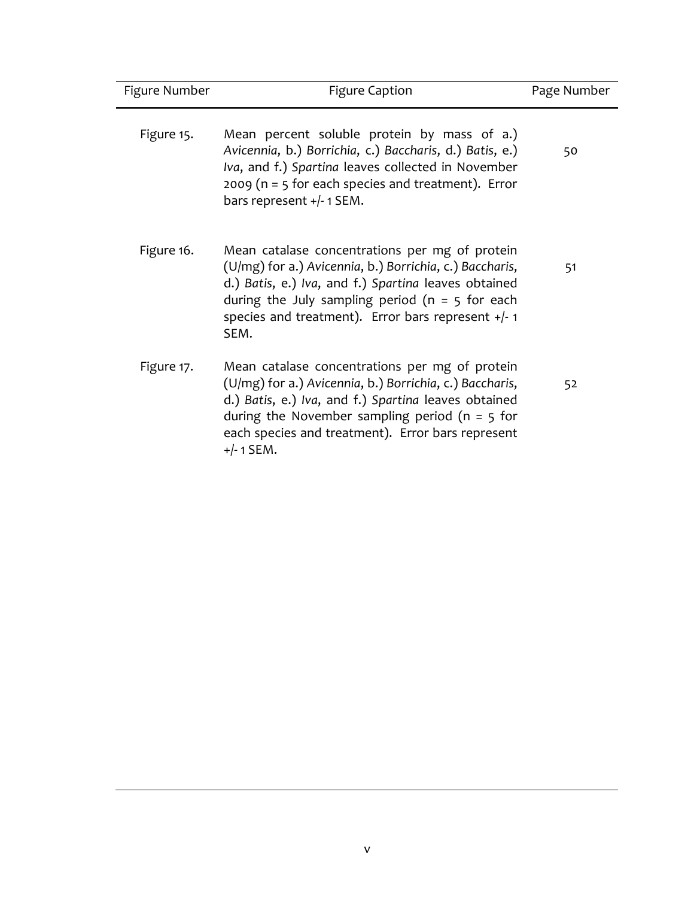| Figure Number | <b>Figure Caption</b>                                                                                                                                                                                                                                                                       | Page Number |
|---------------|---------------------------------------------------------------------------------------------------------------------------------------------------------------------------------------------------------------------------------------------------------------------------------------------|-------------|
| Figure 15.    | Mean percent soluble protein by mass of a.)<br>Avicennia, b.) Borrichia, c.) Baccharis, d.) Batis, e.)<br>Iva, and f.) Spartina leaves collected in November<br>2009 ( $n = 5$ for each species and treatment). Error<br>bars represent +/-1 SEM.                                           | 50          |
| Figure 16.    | Mean catalase concentrations per mg of protein<br>(U/mg) for a.) Avicennia, b.) Borrichia, c.) Baccharis,<br>d.) Batis, e.) Iva, and f.) Spartina leaves obtained<br>during the July sampling period ( $n = 5$ for each<br>species and treatment). Error bars represent $+/-1$<br>SEM.      | 51          |
| Figure 17.    | Mean catalase concentrations per mg of protein<br>(U/mg) for a.) Avicennia, b.) Borrichia, c.) Baccharis,<br>d.) Batis, e.) Iva, and f.) Spartina leaves obtained<br>during the November sampling period ( $n = 5$ for<br>each species and treatment). Error bars represent<br>$+/- 1$ SEM. | 52          |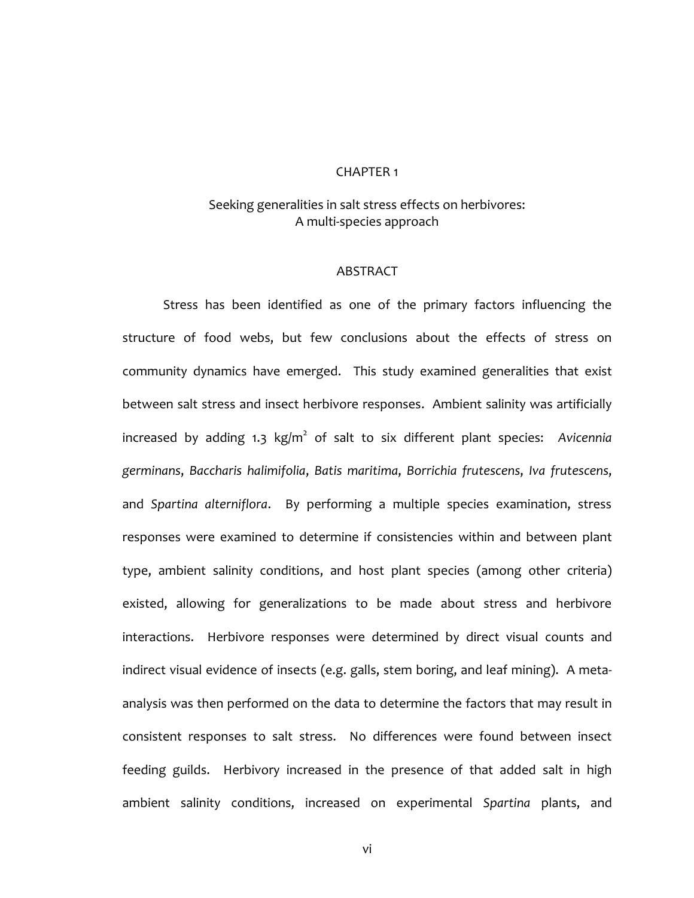#### CHAPTER 1

# Seeking generalities in salt stress effects on herbivores: A multi-species approach

# **ABSTRACT**

Stress has been identified as one of the primary factors influencing the structure of food webs, but few conclusions about the effects of stress on community dynamics have emerged. This study examined generalities that exist between salt stress and insect herbivore responses. Ambient salinity was artificially increased by adding 1.3 kg/m<sup>2</sup> of salt to six different plant species: Avicennia *germinans*, *Baccharis halimifolia*, *Batis maritima*, *Borrichia frutescens*, *Iva frutescens*, and *Spartina alterniflora*. By performing a multiple species examination, stress responses were examined to determine if consistencies within and between plant type, ambient salinity conditions, and host plant species (among other criteria) existed, allowing for generalizations to be made about stress and herbivore interactions. Herbivore responses were determined by direct visual counts and indirect visual evidence of insects (e.g. galls, stem boring, and leaf mining). A metaanalysis was then performed on the data to determine the factors that may result in consistent responses to salt stress. No differences were found between insect feeding guilds. Herbivory increased in the presence of that added salt in high ambient salinity conditions, increased on experimental *Spartina* plants, and

vi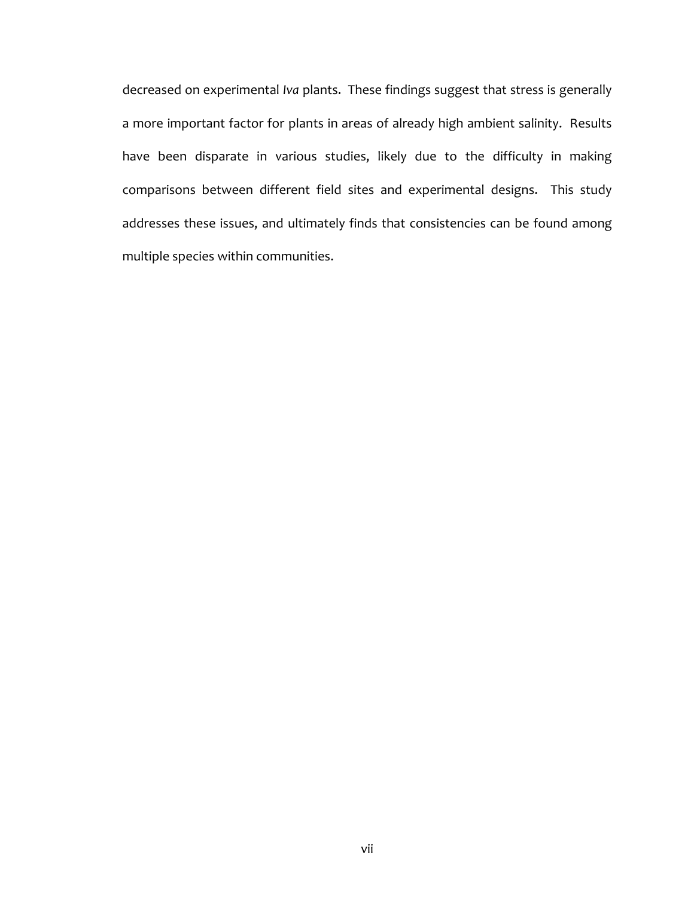decreased on experimental *Iva* plants. These findings suggest that stress is generally a more important factor for plants in areas of already high ambient salinity. Results have been disparate in various studies, likely due to the difficulty in making comparisons between different field sites and experimental designs. This study addresses these issues, and ultimately finds that consistencies can be found among multiple species within communities.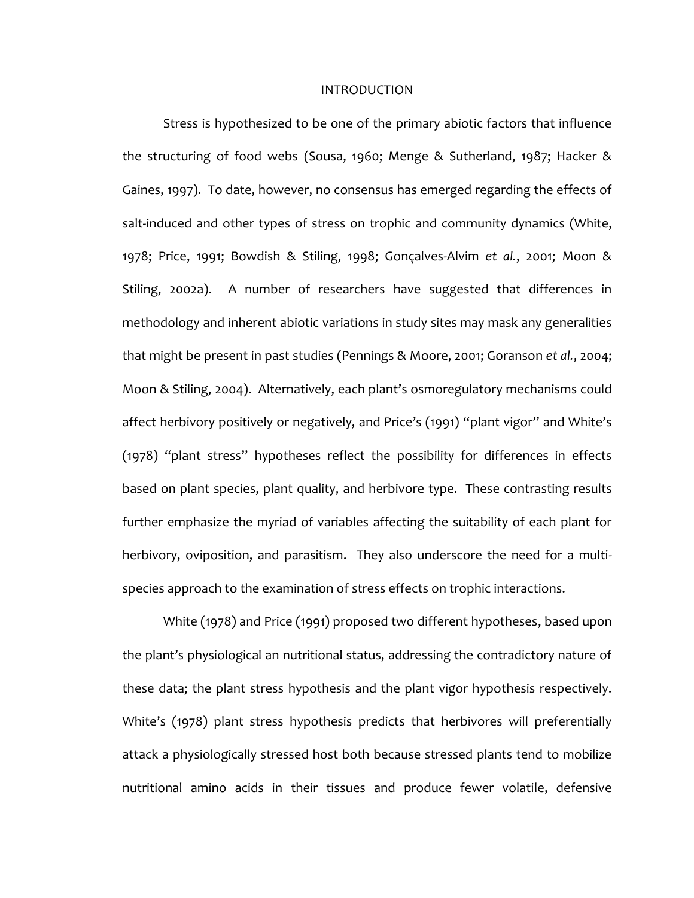#### INTRODUCTION

Stress is hypothesized to be one of the primary abiotic factors that influence the structuring of food webs (Sousa, 1960; Menge & Sutherland, 1987; Hacker & Gaines, 1997). To date, however, no consensus has emerged regarding the effects of salt-induced and other types of stress on trophic and community dynamics (White, 1978; Price, 1991; Bowdish & Stiling, 1998; Gonçalves-Alvim *et al.*, 2001; Moon & Stiling, 2002a). A number of researchers have suggested that differences in methodology and inherent abiotic variations in study sites may mask any generalities that might be present in past studies (Pennings & Moore, 2001; Goranson *et al.*, 2004; Moon & Stiling, 2004). Alternatively, each plant's osmoregulatory mechanisms could affect herbivory positively or negatively, and Price's (1991) "plant vigor" and White's (1978) "plant stress" hypotheses reflect the possibility for differences in effects based on plant species, plant quality, and herbivore type. These contrasting results further emphasize the myriad of variables affecting the suitability of each plant for herbivory, oviposition, and parasitism. They also underscore the need for a multispecies approach to the examination of stress effects on trophic interactions.

White (1978) and Price (1991) proposed two different hypotheses, based upon the plant's physiological an nutritional status, addressing the contradictory nature of these data; the plant stress hypothesis and the plant vigor hypothesis respectively. White's (1978) plant stress hypothesis predicts that herbivores will preferentially attack a physiologically stressed host both because stressed plants tend to mobilize nutritional amino acids in their tissues and produce fewer volatile, defensive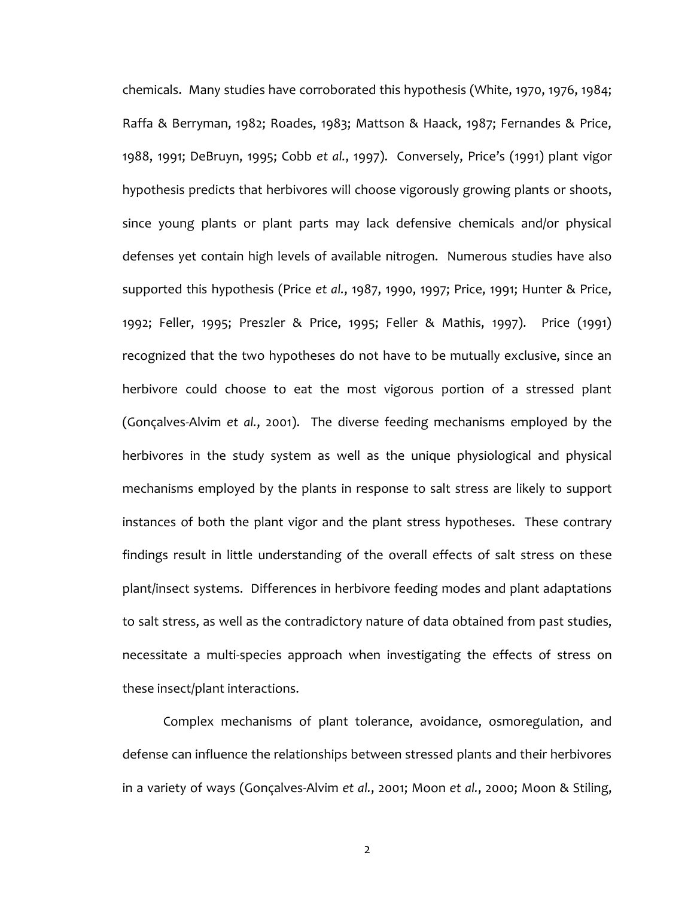chemicals. Many studies have corroborated this hypothesis (White, 1970, 1976, 1984; Raffa & Berryman, 1982; Roades, 1983; Mattson & Haack, 1987; Fernandes & Price, 1988, 1991; DeBruyn, 1995; Cobb *et al.*, 1997). Conversely, Price's (1991) plant vigor hypothesis predicts that herbivores will choose vigorously growing plants or shoots, since young plants or plant parts may lack defensive chemicals and/or physical defenses yet contain high levels of available nitrogen. Numerous studies have also supported this hypothesis (Price *et al.*, 1987, 1990, 1997; Price, 1991; Hunter & Price, 1992; Feller, 1995; Preszler & Price, 1995; Feller & Mathis, 1997). Price (1991) recognized that the two hypotheses do not have to be mutually exclusive, since an herbivore could choose to eat the most vigorous portion of a stressed plant (Gonçalves-Alvim *et al.*, 2001). The diverse feeding mechanisms employed by the herbivores in the study system as well as the unique physiological and physical mechanisms employed by the plants in response to salt stress are likely to support instances of both the plant vigor and the plant stress hypotheses. These contrary findings result in little understanding of the overall effects of salt stress on these plant/insect systems. Differences in herbivore feeding modes and plant adaptations to salt stress, as well as the contradictory nature of data obtained from past studies, necessitate a multi-species approach when investigating the effects of stress on these insect/plant interactions.

Complex mechanisms of plant tolerance, avoidance, osmoregulation, and defense can influence the relationships between stressed plants and their herbivores in a variety of ways (Gonçalves-Alvim *et al.*, 2001; Moon *et al.*, 2000; Moon & Stiling,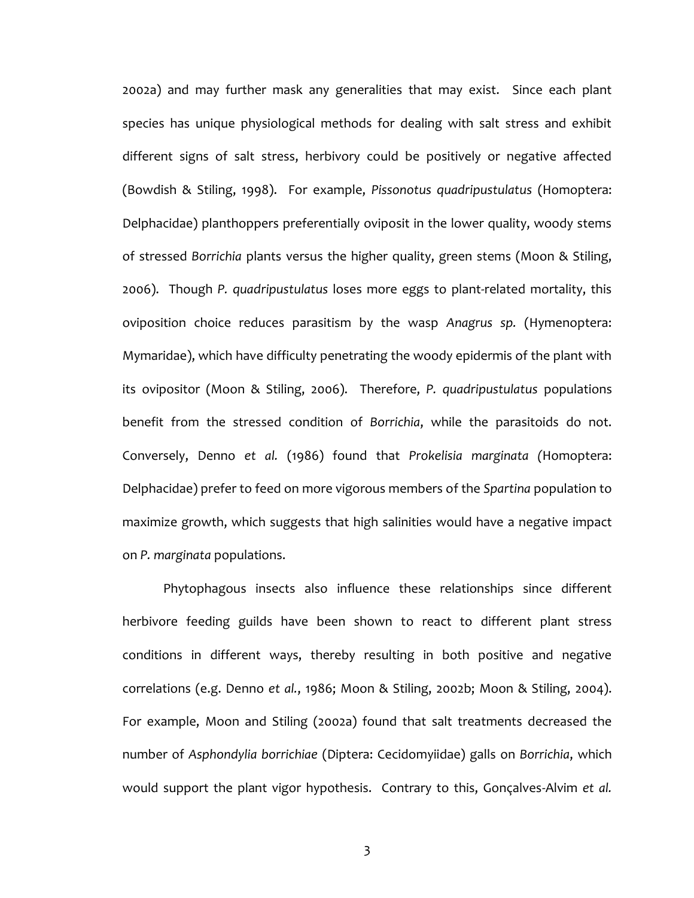2002a) and may further mask any generalities that may exist. Since each plant species has unique physiological methods for dealing with salt stress and exhibit different signs of salt stress, herbivory could be positively or negative affected (Bowdish & Stiling, 1998). For example, *Pissonotus quadripustulatus* (Homoptera: Delphacidae) planthoppers preferentially oviposit in the lower quality, woody stems of stressed *Borrichia* plants versus the higher quality, green stems (Moon & Stiling, 2006). Though *P. quadripustulatus* loses more eggs to plant-related mortality, this oviposition choice reduces parasitism by the wasp *Anagrus sp.* (Hymenoptera: Mymaridae), which have difficulty penetrating the woody epidermis of the plant with its ovipositor (Moon & Stiling, 2006). Therefore, *P. quadripustulatus* populations benefit from the stressed condition of *Borrichia*, while the parasitoids do not. Conversely, Denno *et al.* (1986) found that *Prokelisia marginata (*Homoptera: Delphacidae) prefer to feed on more vigorous members of the *Spartina* population to maximize growth, which suggests that high salinities would have a negative impact on *P. marginata* populations.

Phytophagous insects also influence these relationships since different herbivore feeding guilds have been shown to react to different plant stress conditions in different ways, thereby resulting in both positive and negative correlations (e.g. Denno *et al.*, 1986; Moon & Stiling, 2002b; Moon & Stiling, 2004). For example, Moon and Stiling (2002a) found that salt treatments decreased the number of *Asphondylia borrichiae* (Diptera: Cecidomyiidae) galls on *Borrichia*, which would support the plant vigor hypothesis. Contrary to this, Gonçalves-Alvim *et al.*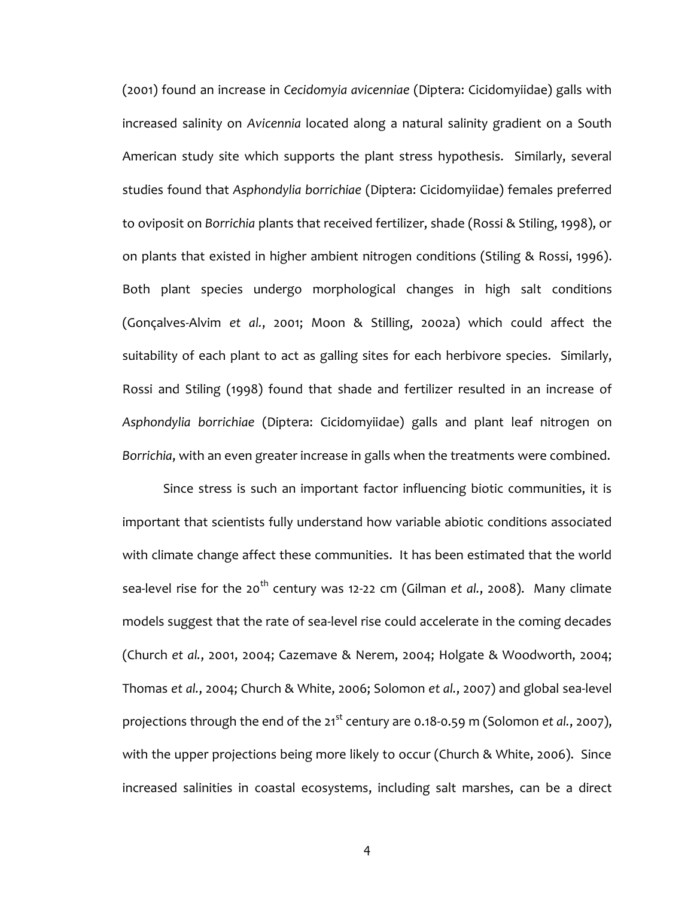(2001) found an increase in *Cecidomyia avicenniae* (Diptera: Cicidomyiidae) galls with increased salinity on *Avicennia* located along a natural salinity gradient on a South American study site which supports the plant stress hypothesis. Similarly, several studies found that *Asphondylia borrichiae* (Diptera: Cicidomyiidae) females preferred to oviposit on *Borrichia* plants that received fertilizer, shade (Rossi & Stiling, 1998), or on plants that existed in higher ambient nitrogen conditions (Stiling & Rossi, 1996). Both plant species undergo morphological changes in high salt conditions (Gonçalves-Alvim *et al.*, 2001; Moon & Stilling, 2002a) which could affect the suitability of each plant to act as galling sites for each herbivore species. Similarly, Rossi and Stiling (1998) found that shade and fertilizer resulted in an increase of *Asphondylia borrichiae* (Diptera: Cicidomyiidae) galls and plant leaf nitrogen on *Borrichia*, with an even greater increase in galls when the treatments were combined.

Since stress is such an important factor influencing biotic communities, it is important that scientists fully understand how variable abiotic conditions associated with climate change affect these communities. It has been estimated that the world sea-level rise for the 20<sup>th</sup> century was 12-22 cm (Gilman *et al.*, 2008). Many climate models suggest that the rate of sea-level rise could accelerate in the coming decades (Church *et al.*, 2001, 2004; Cazemave & Nerem, 2004; Holgate & Woodworth, 2004; Thomas *et al.*, 2004; Church & White, 2006; Solomon *et al.*, 2007) and global sea-level projections through the end of the 21<sup>st</sup> century are 0.18-0.59 m (Solomon *et al.*, 2007), with the upper projections being more likely to occur (Church & White, 2006). Since increased salinities in coastal ecosystems, including salt marshes, can be a direct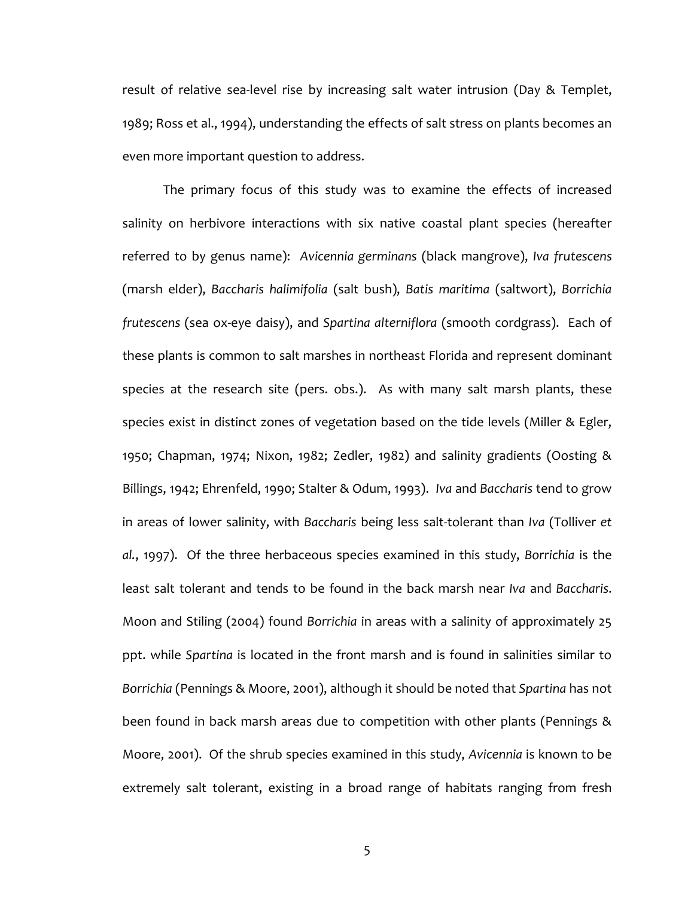result of relative sea-level rise by increasing salt water intrusion (Day & Templet, 1989; Ross et al., 1994), understanding the effects of salt stress on plants becomes an even more important question to address.

The primary focus of this study was to examine the effects of increased salinity on herbivore interactions with six native coastal plant species (hereafter referred to by genus name): *Avicennia germinans* (black mangrove), *Iva frutescens* (marsh elder), *Baccharis halimifolia* (salt bush), *Batis maritima* (saltwort), *Borrichia frutescens* (sea ox-eye daisy), and *Spartina alterniflora* (smooth cordgrass). Each of these plants is common to salt marshes in northeast Florida and represent dominant species at the research site (pers. obs.). As with many salt marsh plants, these species exist in distinct zones of vegetation based on the tide levels (Miller & Egler, 1950; Chapman, 1974; Nixon, 1982; Zedler, 1982) and salinity gradients (Oosting & Billings, 1942; Ehrenfeld, 1990; Stalter & Odum, 1993). *Iva* and *Baccharis* tend to grow in areas of lower salinity, with *Baccharis* being less salt-tolerant than *Iva* (Tolliver *et al.*, 1997). Of the three herbaceous species examined in this study, *Borrichia* is the least salt tolerant and tends to be found in the back marsh near *Iva* and *Baccharis*. Moon and Stiling (2004) found *Borrichia* in areas with a salinity of approximately 25 ppt. while *Spartina* is located in the front marsh and is found in salinities similar to *Borrichia* (Pennings & Moore, 2001), although it should be noted that *Spartina* has not been found in back marsh areas due to competition with other plants (Pennings & Moore, 2001). Of the shrub species examined in this study, *Avicennia* is known to be extremely salt tolerant, existing in a broad range of habitats ranging from fresh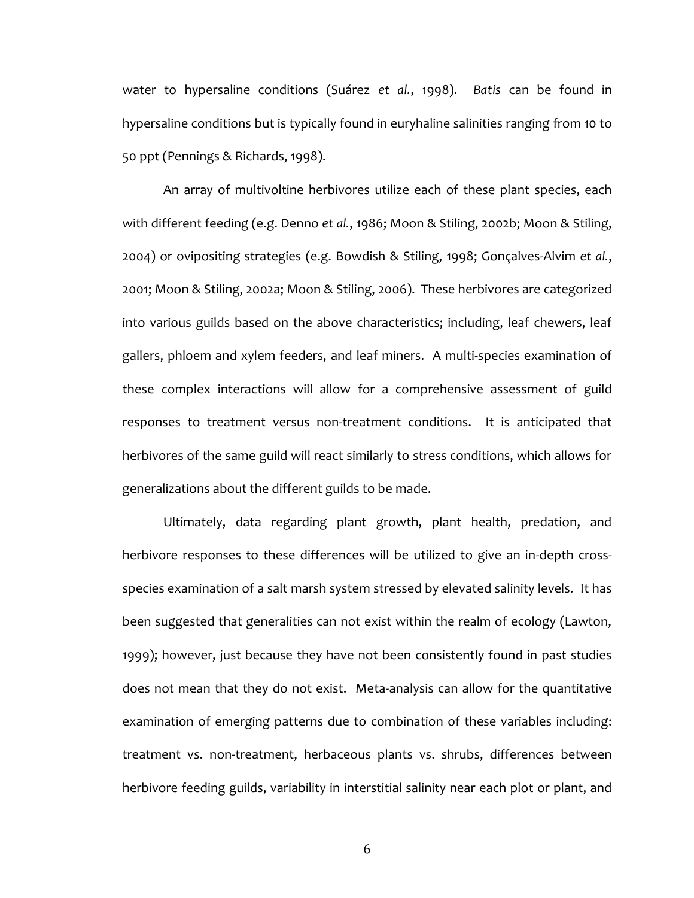water to hypersaline conditions (Suárez *et al.*, 1998). *Batis* can be found in hypersaline conditions but is typically found in euryhaline salinities ranging from 10 to 50 ppt (Pennings & Richards, 1998).

An array of multivoltine herbivores utilize each of these plant species, each with different feeding (e.g. Denno *et al.*, 1986; Moon & Stiling, 2002b; Moon & Stiling, 2004) or ovipositing strategies (e.g. Bowdish & Stiling, 1998; Gonçalves-Alvim *et al.*, 2001; Moon & Stiling, 2002a; Moon & Stiling, 2006). These herbivores are categorized into various guilds based on the above characteristics; including, leaf chewers, leaf gallers, phloem and xylem feeders, and leaf miners. A multi-species examination of these complex interactions will allow for a comprehensive assessment of guild responses to treatment versus non-treatment conditions. It is anticipated that herbivores of the same guild will react similarly to stress conditions, which allows for generalizations about the different guilds to be made.

Ultimately, data regarding plant growth, plant health, predation, and herbivore responses to these differences will be utilized to give an in-depth crossspecies examination of a salt marsh system stressed by elevated salinity levels. It has been suggested that generalities can not exist within the realm of ecology (Lawton, 1999); however, just because they have not been consistently found in past studies does not mean that they do not exist. Meta-analysis can allow for the quantitative examination of emerging patterns due to combination of these variables including: treatment vs. non-treatment, herbaceous plants vs. shrubs, differences between herbivore feeding guilds, variability in interstitial salinity near each plot or plant, and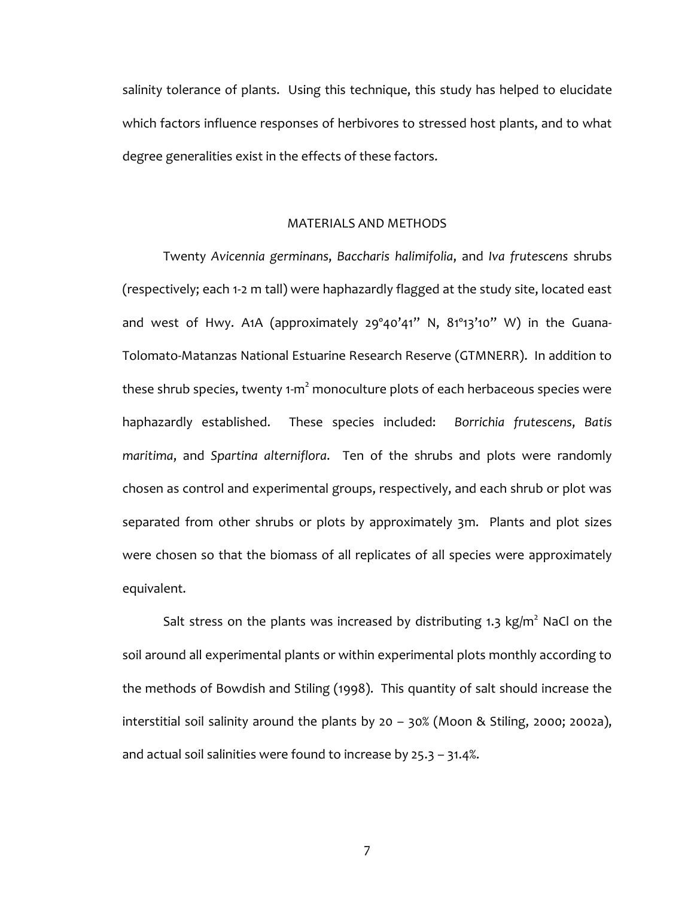salinity tolerance of plants. Using this technique, this study has helped to elucidate which factors influence responses of herbivores to stressed host plants, and to what degree generalities exist in the effects of these factors.

#### MATERIALS AND METHODS

Twenty *Avicennia germinans*, *Baccharis halimifolia*, and *Iva frutescens* shrubs (respectively; each 1-2 m tall) were haphazardly flagged at the study site, located east and west of Hwy. A1A (approximately 29º40'41" N, 81º13'10" W) in the Guana-Tolomato-Matanzas National Estuarine Research Reserve (GTMNERR). In addition to these shrub species, twenty 1-m $^2$  monoculture plots of each herbaceous species were haphazardly established. These species included: *Borrichia frutescens*, *Batis maritima*, and *Spartina alterniflora*. Ten of the shrubs and plots were randomly chosen as control and experimental groups, respectively, and each shrub or plot was separated from other shrubs or plots by approximately 3m. Plants and plot sizes were chosen so that the biomass of all replicates of all species were approximately equivalent.

Salt stress on the plants was increased by distributing 1.3 kg/m<sup>2</sup> NaCl on the soil around all experimental plants or within experimental plots monthly according to the methods of Bowdish and Stiling (1998). This quantity of salt should increase the interstitial soil salinity around the plants by 20 – 30% (Moon & Stiling, 2000; 2002a), and actual soil salinities were found to increase by 25.3 – 31.4%.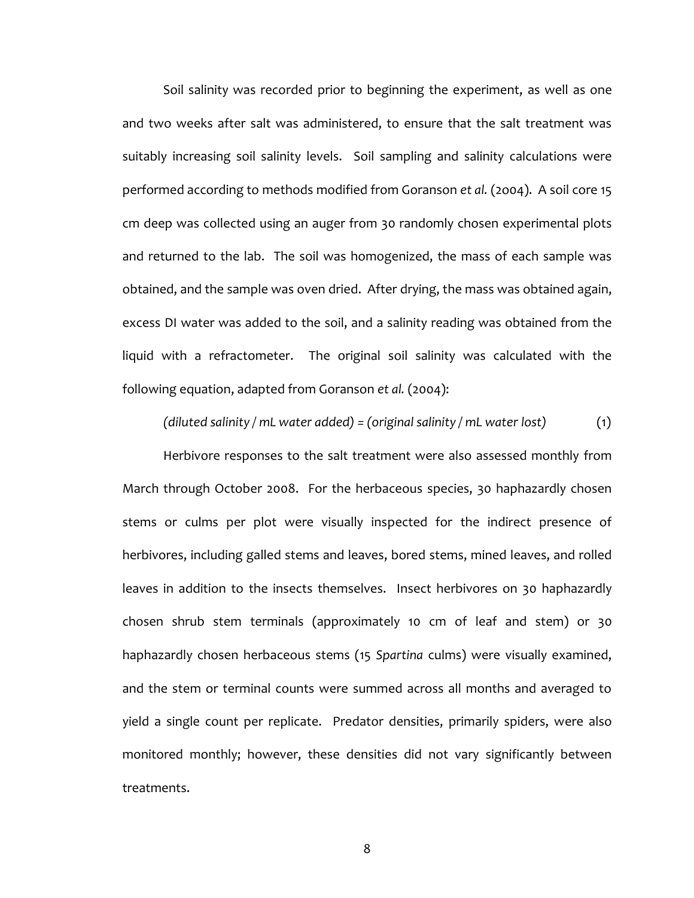Soil salinity was recorded prior to beginning the experiment, as well as one and two weeks after salt was administered, to ensure that the salt treatment was suitably increasing soil salinity levels. Soil sampling and salinity calculations were performed according to methods modified from Goranson *et al.* (2o04). A soil core 15 cm deep was collected using an auger from 30 randomly chosen experimental plots and returned to the lab. The soil was homogenized, the mass of each sample was obtained, and the sample was oven dried. After drying, the mass was obtained again, excess DI water was added to the soil, and a salinity reading was obtained from the liquid with a refractometer. The original soil salinity was calculated with the following equation, adapted from Goranson *et al.* (2004):

*(diluted salinity / mL water added) = (original salinity / mL water lost)* (1)

Herbivore responses to the salt treatment were also assessed monthly from March through October 2008. For the herbaceous species, 30 haphazardly chosen stems or culms per plot were visually inspected for the indirect presence of herbivores, including galled stems and leaves, bored stems, mined leaves, and rolled leaves in addition to the insects themselves. Insect herbivores on 30 haphazardly chosen shrub stem terminals (approximately 10 cm of leaf and stem) or 30 haphazardly chosen herbaceous stems (15 *Spartina* culms) were visually examined, and the stem or terminal counts were summed across all months and averaged to yield a single count per replicate. Predator densities, primarily spiders, were also monitored monthly; however, these densities did not vary significantly between treatments.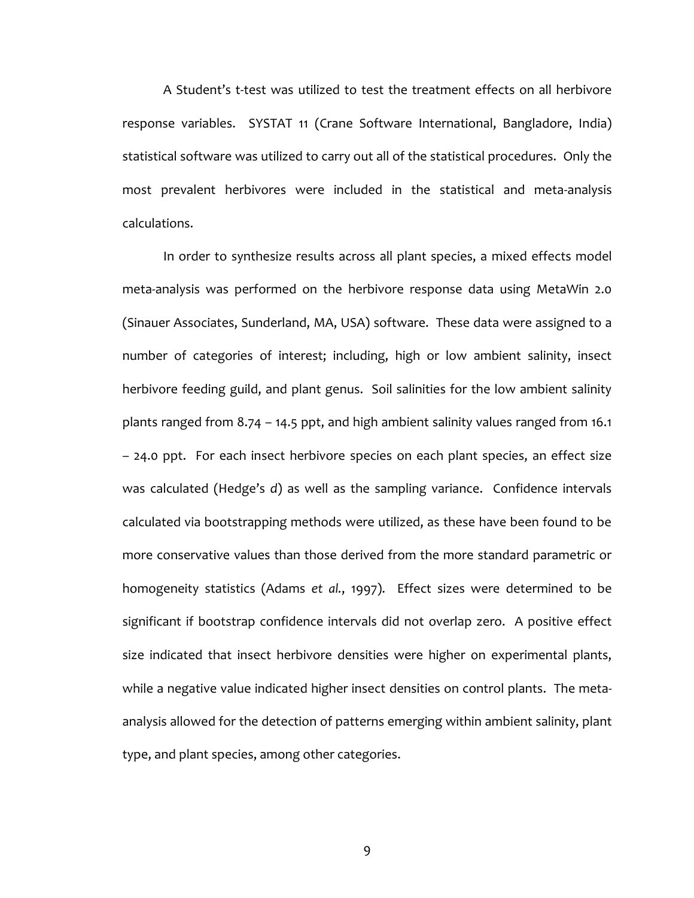A Student's t-test was utilized to test the treatment effects on all herbivore response variables. SYSTAT 11 (Crane Software International, Bangladore, India) statistical software was utilized to carry out all of the statistical procedures. Only the most prevalent herbivores were included in the statistical and meta-analysis calculations.

In order to synthesize results across all plant species, a mixed effects model meta-analysis was performed on the herbivore response data using MetaWin 2.0 (Sinauer Associates, Sunderland, MA, USA) software. These data were assigned to a number of categories of interest; including, high or low ambient salinity, insect herbivore feeding guild, and plant genus. Soil salinities for the low ambient salinity plants ranged from 8.74 – 14.5 ppt, and high ambient salinity values ranged from 16.1 – 24.0 ppt. For each insect herbivore species on each plant species, an effect size was calculated (Hedge's *d*) as well as the sampling variance. Confidence intervals calculated via bootstrapping methods were utilized, as these have been found to be more conservative values than those derived from the more standard parametric or homogeneity statistics (Adams *et al.*, 1997). Effect sizes were determined to be significant if bootstrap confidence intervals did not overlap zero. A positive effect size indicated that insect herbivore densities were higher on experimental plants, while a negative value indicated higher insect densities on control plants. The metaanalysis allowed for the detection of patterns emerging within ambient salinity, plant type, and plant species, among other categories.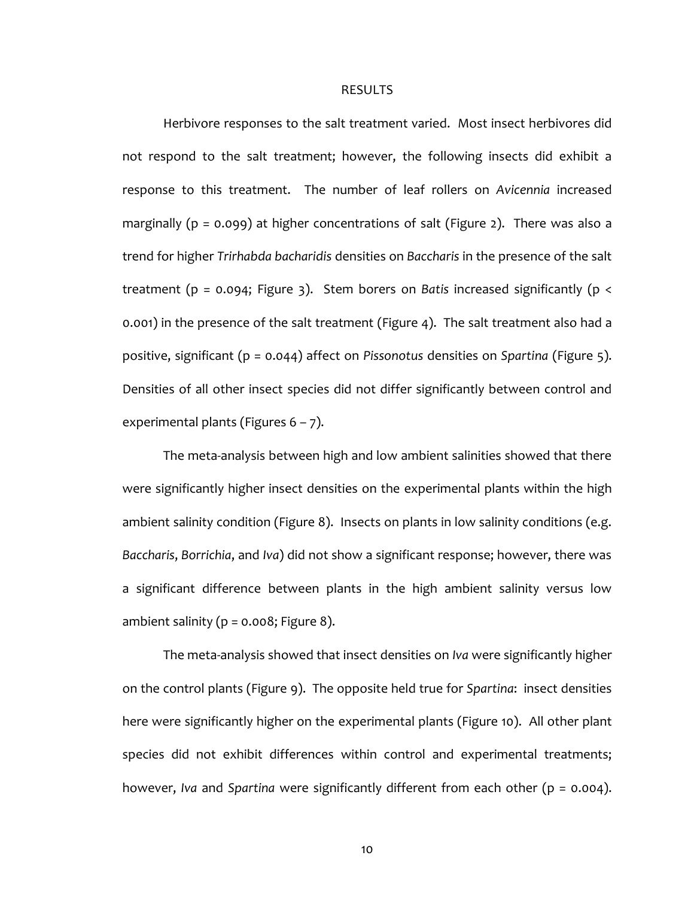#### RESULTS

Herbivore responses to the salt treatment varied. Most insect herbivores did not respond to the salt treatment; however, the following insects did exhibit a response to this treatment. The number of leaf rollers on *Avicennia* increased marginally (p = 0.099) at higher concentrations of salt (Figure 2). There was also a trend for higher *Trirhabda bacharidis* densities on *Baccharis* in the presence of the salt treatment (p = 0.094; Figure 3). Stem borers on *Batis* increased significantly (p < 0.001) in the presence of the salt treatment (Figure 4). The salt treatment also had a positive, significant (p = 0.044) affect on *Pissonotus* densities on *Spartina* (Figure 5). Densities of all other insect species did not differ significantly between control and experimental plants (Figures  $6 - 7$ ).

The meta-analysis between high and low ambient salinities showed that there were significantly higher insect densities on the experimental plants within the high ambient salinity condition (Figure 8). Insects on plants in low salinity conditions (e.g. *Baccharis*, *Borrichia*, and *Iva*) did not show a significant response; however, there was a significant difference between plants in the high ambient salinity versus low ambient salinity ( $p = 0.008$ ; Figure 8).

The meta-analysis showed that insect densities on *Iva* were significantly higher on the control plants (Figure 9). The opposite held true for *Spartina*: insect densities here were significantly higher on the experimental plants (Figure 10). All other plant species did not exhibit differences within control and experimental treatments; however, *Iva* and *Spartina* were significantly different from each other (p = 0.004).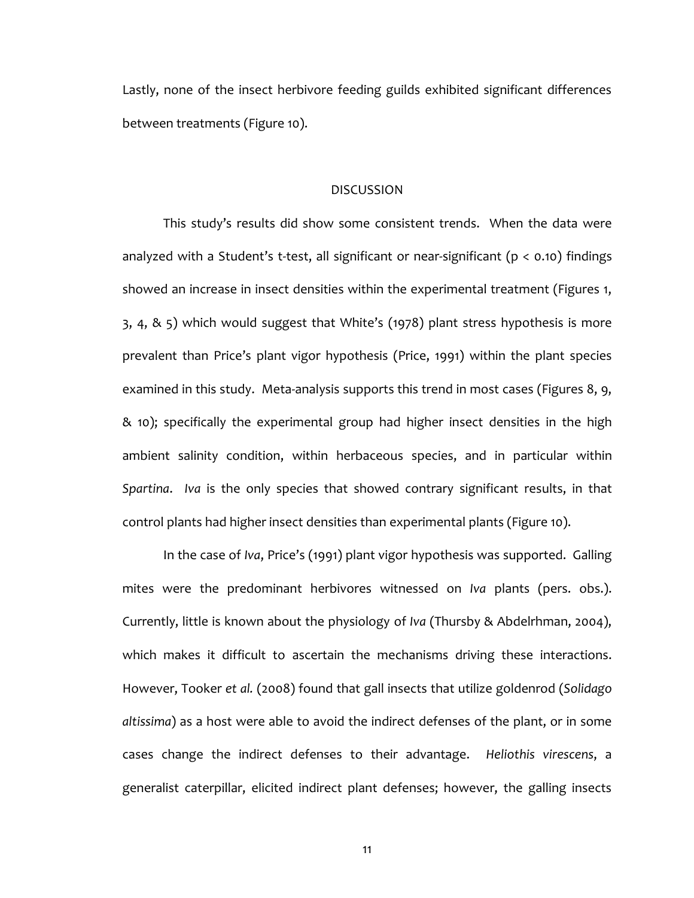Lastly, none of the insect herbivore feeding guilds exhibited significant differences between treatments (Figure 10).

#### DISCUSSION

This study's results did show some consistent trends. When the data were analyzed with a Student's t-test, all significant or near-significant ( $p < 0.10$ ) findings showed an increase in insect densities within the experimental treatment (Figures 1, 3, 4, & 5) which would suggest that White's (1978) plant stress hypothesis is more prevalent than Price's plant vigor hypothesis (Price, 1991) within the plant species examined in this study. Meta-analysis supports this trend in most cases (Figures 8, 9, & 10); specifically the experimental group had higher insect densities in the high ambient salinity condition, within herbaceous species, and in particular within *Spartina*. *Iva* is the only species that showed contrary significant results, in that control plants had higher insect densities than experimental plants (Figure 10).

In the case of *Iva*, Price's (1991) plant vigor hypothesis was supported. Galling mites were the predominant herbivores witnessed on *Iva* plants (pers. obs.). Currently, little is known about the physiology of *Iva* (Thursby & Abdelrhman, 2004), which makes it difficult to ascertain the mechanisms driving these interactions. However, Tooker *et al.* (2008) found that gall insects that utilize goldenrod (*Solidago altissima*) as a host were able to avoid the indirect defenses of the plant, or in some cases change the indirect defenses to their advantage. *Heliothis virescens*, a generalist caterpillar, elicited indirect plant defenses; however, the galling insects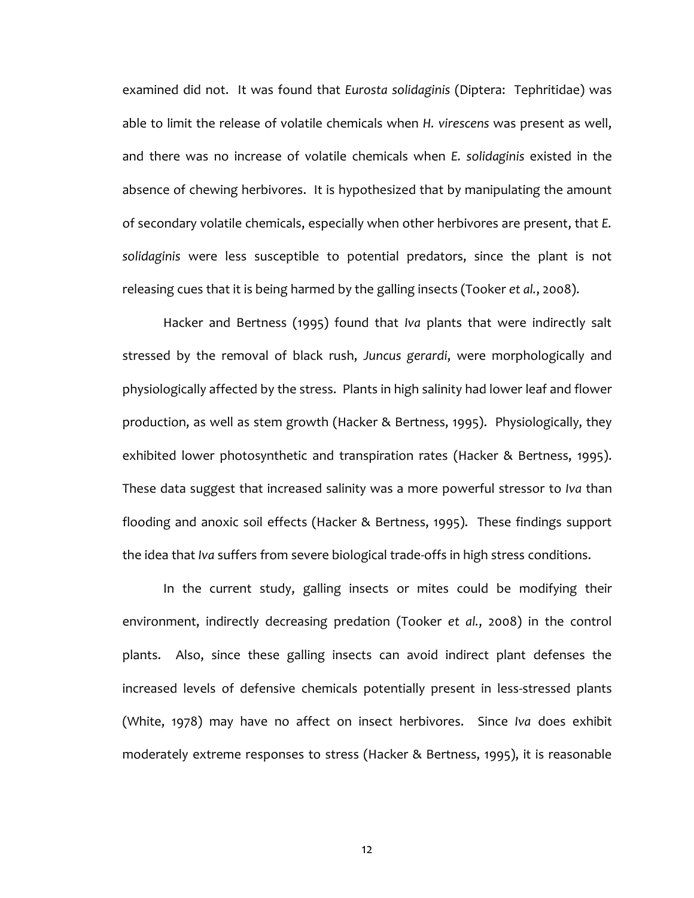examined did not. It was found that *Eurosta solidaginis* (Diptera: Tephritidae) was able to limit the release of volatile chemicals when *H. virescens* was present as well, and there was no increase of volatile chemicals when *E. solidaginis* existed in the absence of chewing herbivores. It is hypothesized that by manipulating the amount of secondary volatile chemicals, especially when other herbivores are present, that *E. solidaginis* were less susceptible to potential predators, since the plant is not releasing cues that it is being harmed by the galling insects (Tooker *et al.*, 2008).

Hacker and Bertness (1995) found that *Iva* plants that were indirectly salt stressed by the removal of black rush, *Juncus gerardi*, were morphologically and physiologically affected by the stress. Plants in high salinity had lower leaf and flower production, as well as stem growth (Hacker & Bertness, 1995). Physiologically, they exhibited lower photosynthetic and transpiration rates (Hacker & Bertness, 1995). These data suggest that increased salinity was a more powerful stressor to *Iva* than flooding and anoxic soil effects (Hacker & Bertness, 1995). These findings support the idea that *Iva* suffers from severe biological trade-offs in high stress conditions.

In the current study, galling insects or mites could be modifying their environment, indirectly decreasing predation (Tooker *et al.*, 2008) in the control plants. Also, since these galling insects can avoid indirect plant defenses the increased levels of defensive chemicals potentially present in less-stressed plants (White, 1978) may have no affect on insect herbivores. Since *Iva* does exhibit moderately extreme responses to stress (Hacker & Bertness, 1995), it is reasonable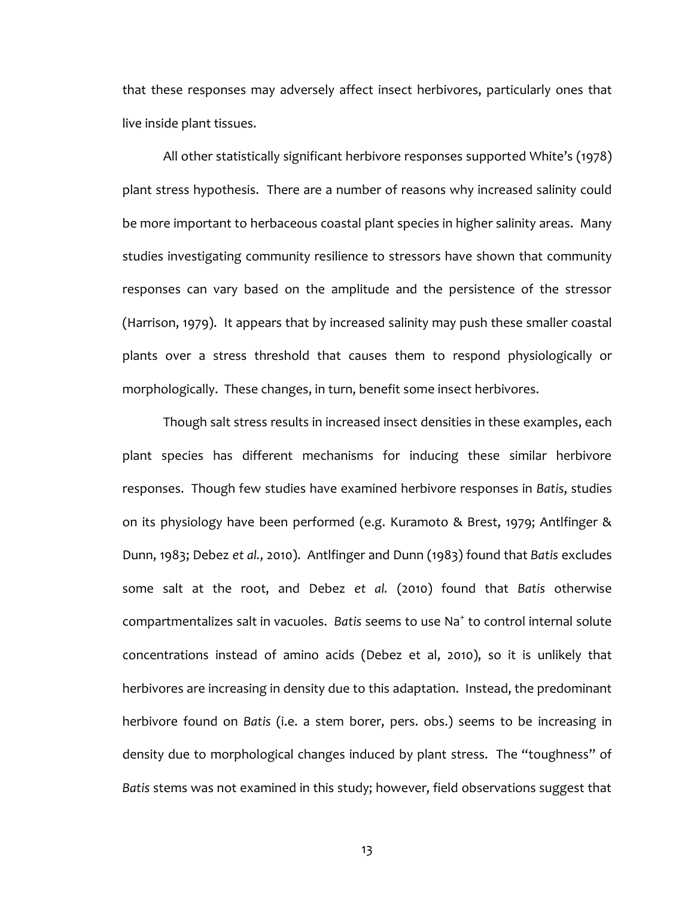that these responses may adversely affect insect herbivores, particularly ones that live inside plant tissues.

All other statistically significant herbivore responses supported White's (1978) plant stress hypothesis. There are a number of reasons why increased salinity could be more important to herbaceous coastal plant species in higher salinity areas. Many studies investigating community resilience to stressors have shown that community responses can vary based on the amplitude and the persistence of the stressor (Harrison, 1979). It appears that by increased salinity may push these smaller coastal plants over a stress threshold that causes them to respond physiologically or morphologically. These changes, in turn, benefit some insect herbivores.

Though salt stress results in increased insect densities in these examples, each plant species has different mechanisms for inducing these similar herbivore responses. Though few studies have examined herbivore responses in *Batis*, studies on its physiology have been performed (e.g. Kuramoto & Brest, 1979; Antlfinger & Dunn, 1983; Debez *et al.*, 2010). Antlfinger and Dunn (1983) found that *Batis* excludes some salt at the root, and Debez *et al.* (2010) found that *Batis* otherwise compartmentalizes salt in vacuoles. Batis seems to use Na<sup>+</sup> to control internal solute concentrations instead of amino acids (Debez et al, 2010), so it is unlikely that herbivores are increasing in density due to this adaptation. Instead, the predominant herbivore found on *Batis* (i.e. a stem borer, pers. obs.) seems to be increasing in density due to morphological changes induced by plant stress. The "toughness" of *Batis* stems was not examined in this study; however, field observations suggest that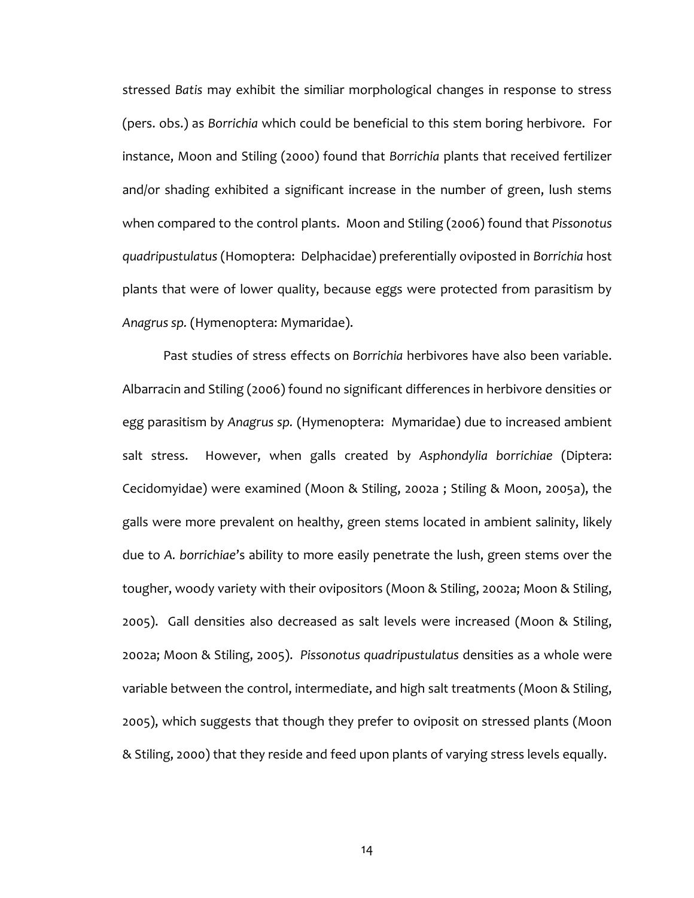stressed *Batis* may exhibit the similiar morphological changes in response to stress (pers. obs.) as *Borrichia* which could be beneficial to this stem boring herbivore. For instance, Moon and Stiling (2000) found that *Borrichia* plants that received fertilizer and/or shading exhibited a significant increase in the number of green, lush stems when compared to the control plants. Moon and Stiling (2006) found that *Pissonotus quadripustulatus* (Homoptera: Delphacidae) preferentially oviposted in *Borrichia* host plants that were of lower quality, because eggs were protected from parasitism by *Anagrus sp.* (Hymenoptera: Mymaridae).

Past studies of stress effects on *Borrichia* herbivores have also been variable. Albarracin and Stiling (2006) found no significant differences in herbivore densities or egg parasitism by *Anagrus sp.* (Hymenoptera: Mymaridae) due to increased ambient salt stress. However, when galls created by *Asphondylia borrichiae* (Diptera: Cecidomyidae) were examined (Moon & Stiling, 2002a ; Stiling & Moon, 2005a), the galls were more prevalent on healthy, green stems located in ambient salinity, likely due to *A. borrichiae*'s ability to more easily penetrate the lush, green stems over the tougher, woody variety with their ovipositors (Moon & Stiling, 2002a; Moon & Stiling, 2005). Gall densities also decreased as salt levels were increased (Moon & Stiling, 2002a; Moon & Stiling, 2005). *Pissonotus quadripustulatus* densities as a whole were variable between the control, intermediate, and high salt treatments (Moon & Stiling, 2005), which suggests that though they prefer to oviposit on stressed plants (Moon & Stiling, 2000) that they reside and feed upon plants of varying stress levels equally.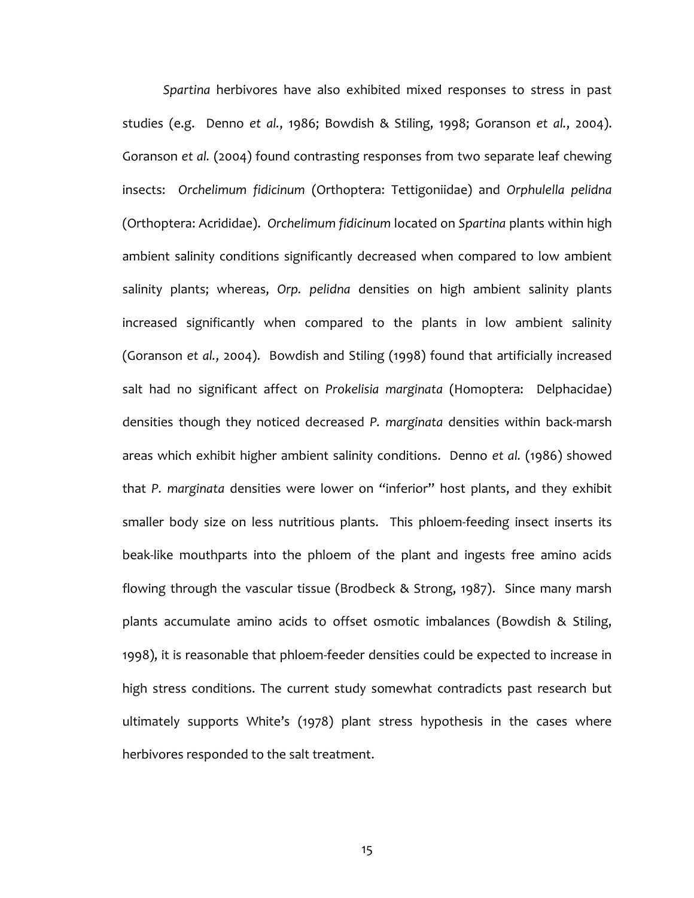*Spartina* herbivores have also exhibited mixed responses to stress in past studies (e.g. Denno *et al.*, 1986; Bowdish & Stiling, 1998; Goranson *et al.*, 2004). Goranson *et al.* (2004) found contrasting responses from two separate leaf chewing insects: *Orchelimum fidicinum* (Orthoptera: Tettigoniidae) and *Orphulella pelidna* (Orthoptera: Acrididae). *Orchelimum fidicinum* located on *Spartina* plants within high ambient salinity conditions significantly decreased when compared to low ambient salinity plants; whereas, *Orp. pelidna* densities on high ambient salinity plants increased significantly when compared to the plants in low ambient salinity (Goranson *et al.*, 2004). Bowdish and Stiling (1998) found that artificially increased salt had no significant affect on *Prokelisia marginata* (Homoptera: Delphacidae) densities though they noticed decreased *P. marginata* densities within back-marsh areas which exhibit higher ambient salinity conditions. Denno *et al.* (1986) showed that *P. marginata* densities were lower on "inferior" host plants, and they exhibit smaller body size on less nutritious plants. This phloem-feeding insect inserts its beak-like mouthparts into the phloem of the plant and ingests free amino acids flowing through the vascular tissue (Brodbeck & Strong, 1987). Since many marsh plants accumulate amino acids to offset osmotic imbalances (Bowdish & Stiling, 1998), it is reasonable that phloem-feeder densities could be expected to increase in high stress conditions. The current study somewhat contradicts past research but ultimately supports White's (1978) plant stress hypothesis in the cases where herbivores responded to the salt treatment.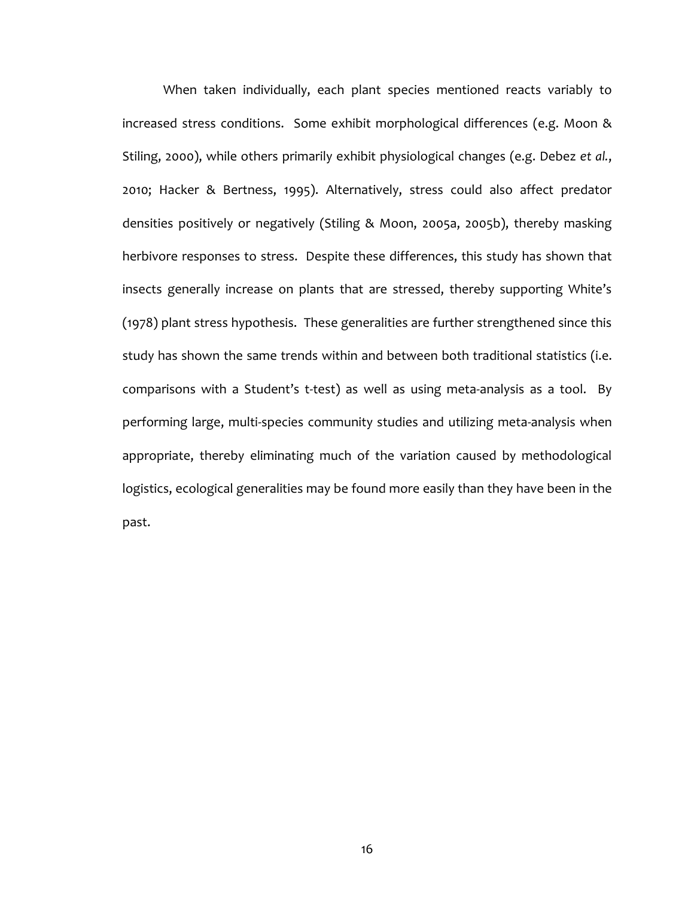When taken individually, each plant species mentioned reacts variably to increased stress conditions. Some exhibit morphological differences (e.g. Moon & Stiling, 2000), while others primarily exhibit physiological changes (e.g. Debez *et al.*, 2010; Hacker & Bertness, 1995). Alternatively, stress could also affect predator densities positively or negatively (Stiling & Moon, 2005a, 2005b), thereby masking herbivore responses to stress. Despite these differences, this study has shown that insects generally increase on plants that are stressed, thereby supporting White's (1978) plant stress hypothesis. These generalities are further strengthened since this study has shown the same trends within and between both traditional statistics (i.e. comparisons with a Student's t-test) as well as using meta-analysis as a tool. By performing large, multi-species community studies and utilizing meta-analysis when appropriate, thereby eliminating much of the variation caused by methodological logistics, ecological generalities may be found more easily than they have been in the past.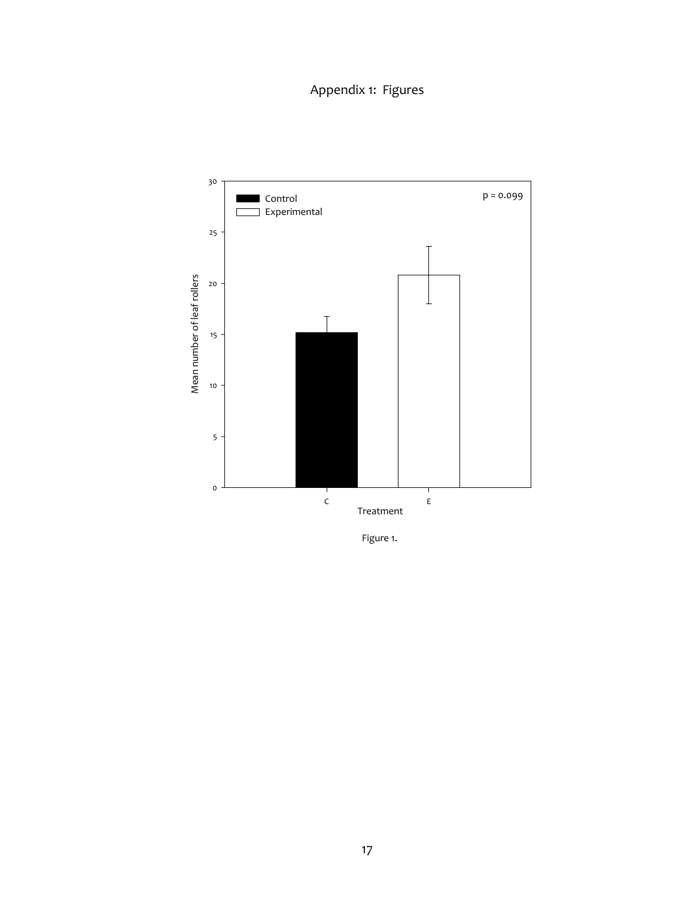Appendix 1: Figures



Figure 1.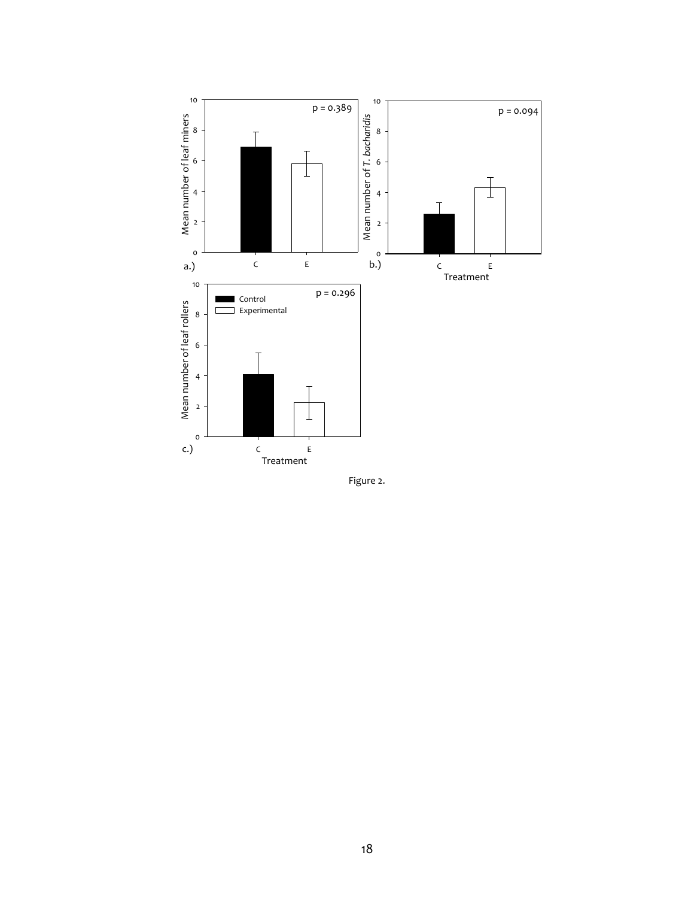

Figure 2.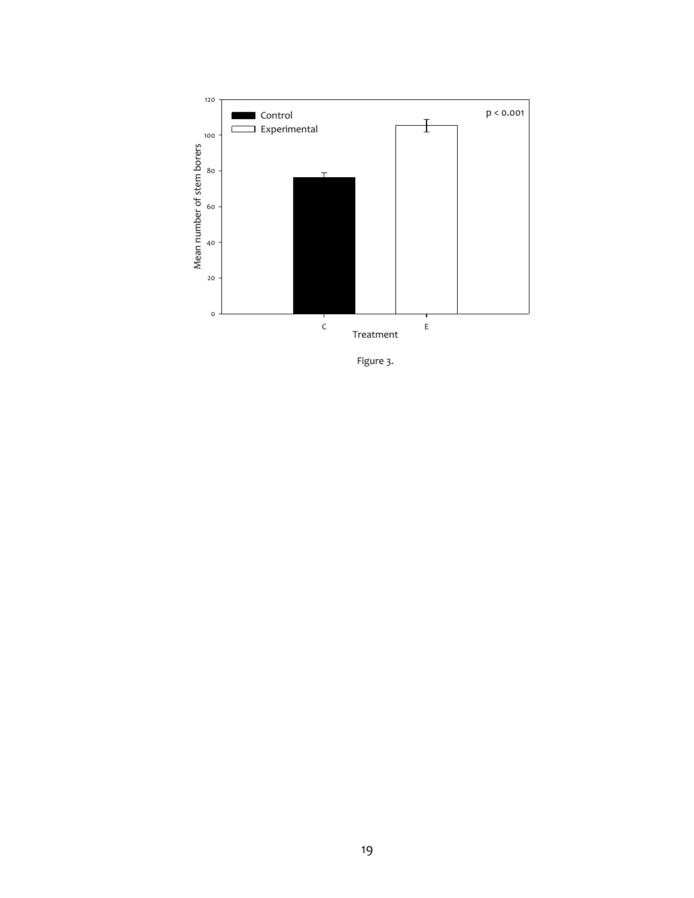

Figure 3.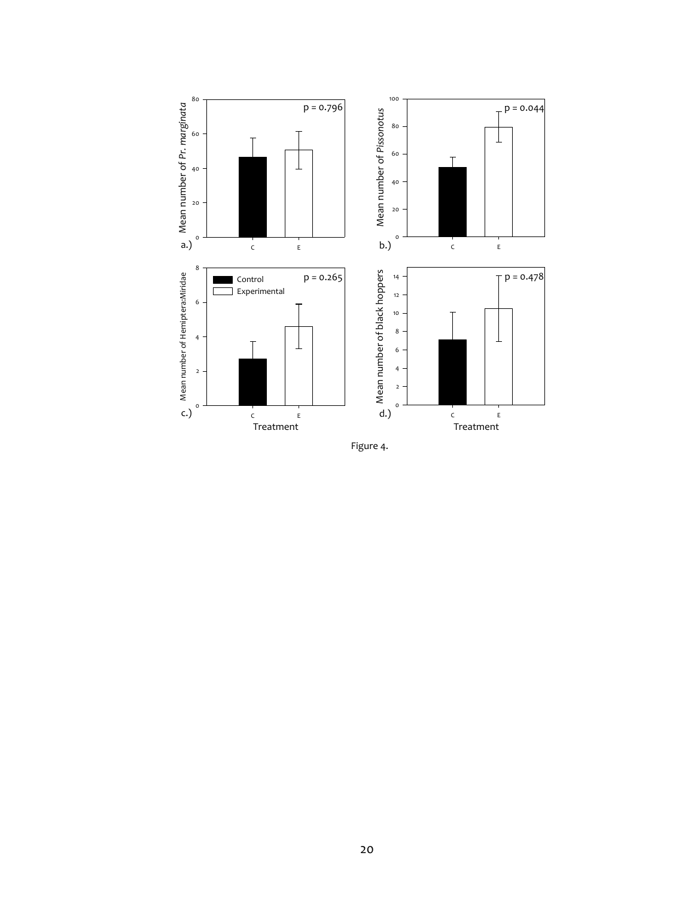

Figure 4.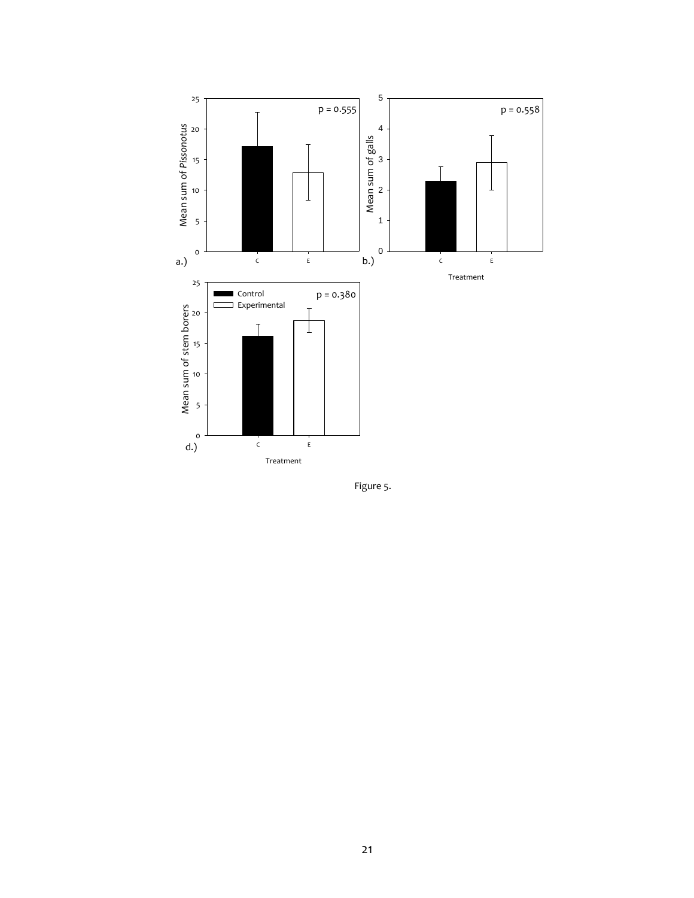

Figure 5.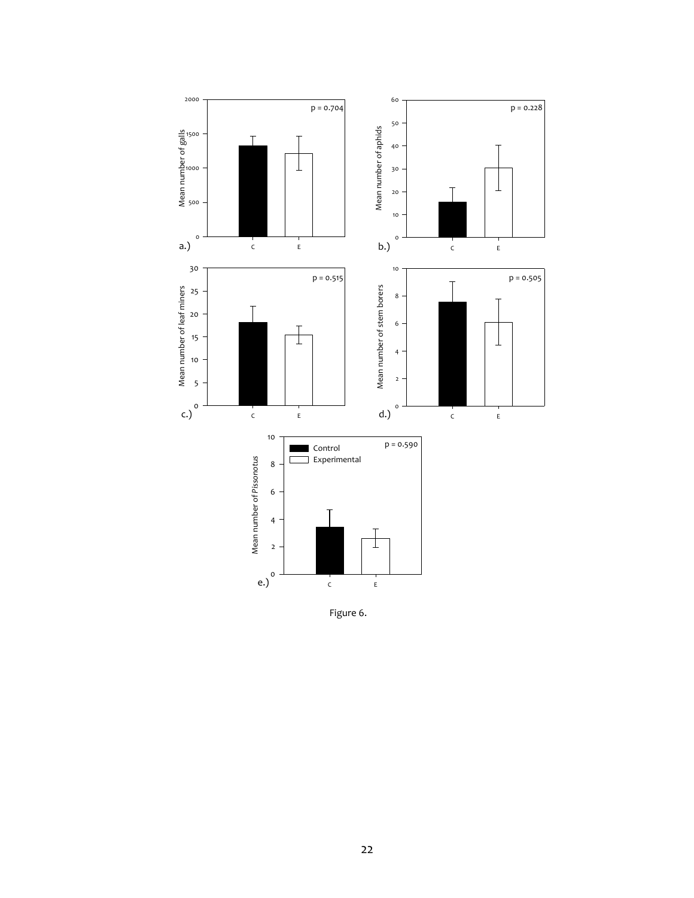

Figure 6.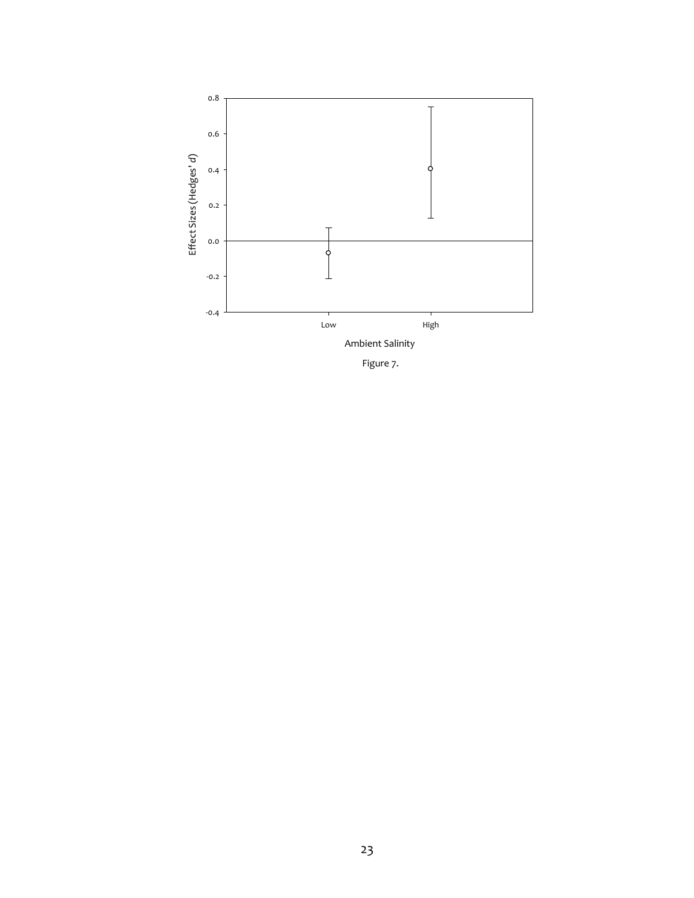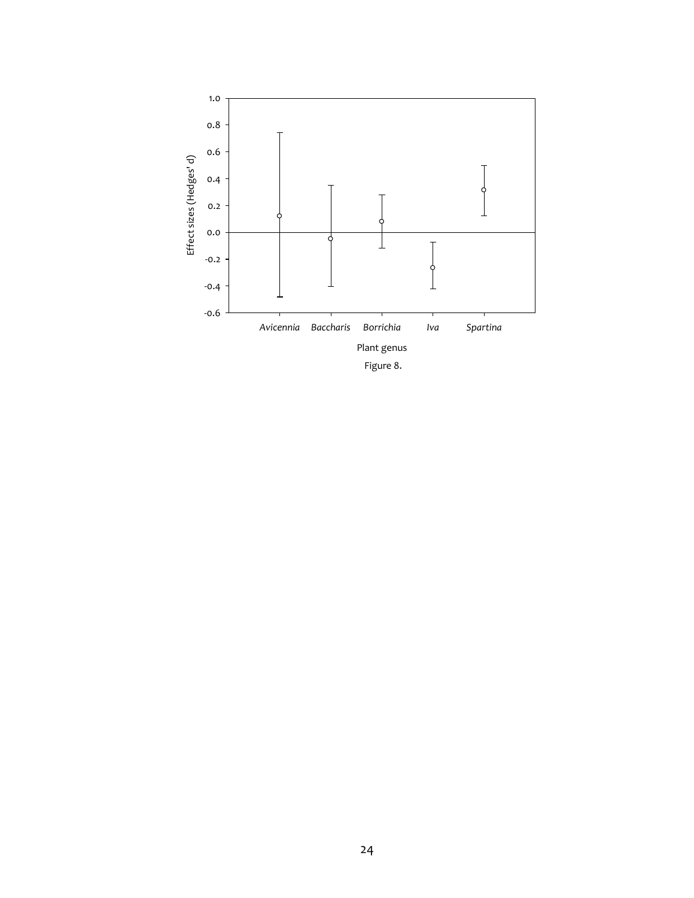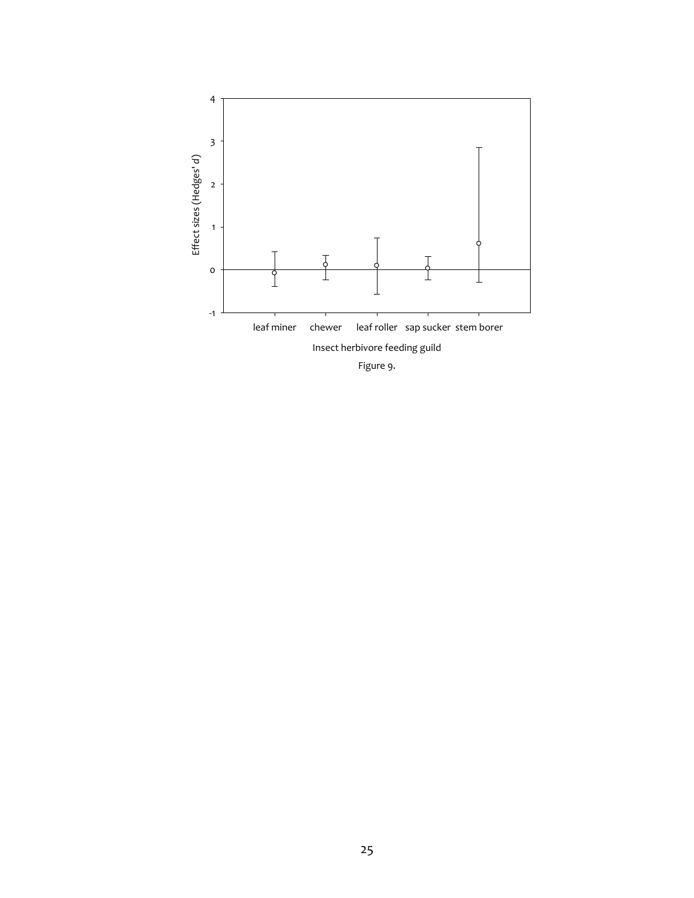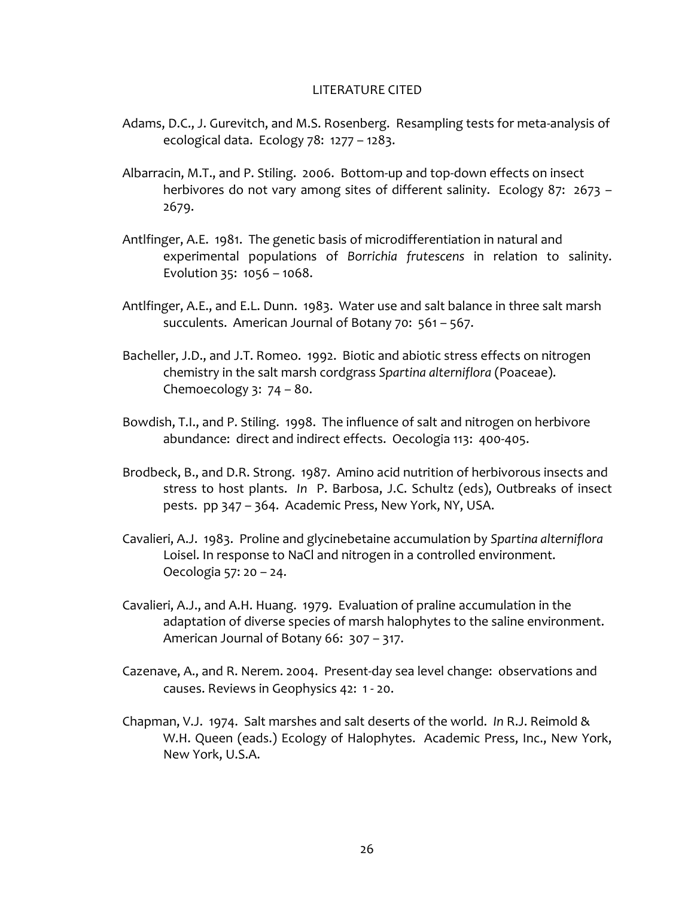## LITERATURE CITED

- Adams, D.C., J. Gurevitch, and M.S. Rosenberg. Resampling tests for meta-analysis of ecological data. Ecology 78: 1277 – 1283.
- Albarracin, M.T., and P. Stiling. 2006. Bottom-up and top-down effects on insect herbivores do not vary among sites of different salinity. Ecology 87: 2673 – 2679.
- Antlfinger, A.E. 1981. The genetic basis of microdifferentiation in natural and experimental populations of *Borrichia frutescens* in relation to salinity. Evolution 35: 1056 – 1068.
- Antlfinger, A.E., and E.L. Dunn. 1983. Water use and salt balance in three salt marsh succulents. American Journal of Botany 70: 561 – 567.
- Bacheller, J.D., and J.T. Romeo. 1992. Biotic and abiotic stress effects on nitrogen chemistry in the salt marsh cordgrass *Spartina alterniflora* (Poaceae). Chemoecology 3: 74 – 80.
- Bowdish, T.I., and P. Stiling. 1998. The influence of salt and nitrogen on herbivore abundance: direct and indirect effects. Oecologia 113: 400-405.
- Brodbeck, B., and D.R. Strong. 1987. Amino acid nutrition of herbivorous insects and stress to host plants. *In* P. Barbosa, J.C. Schultz (eds), Outbreaks of insect pests. pp 347 – 364. Academic Press, New York, NY, USA.
- Cavalieri, A.J. 1983. Proline and glycinebetaine accumulation by *Spartina alterniflora* Loisel. In response to NaCl and nitrogen in a controlled environment. Oecologia 57: 20 – 24.
- Cavalieri, A.J., and A.H. Huang. 1979. Evaluation of praline accumulation in the adaptation of diverse species of marsh halophytes to the saline environment. American Journal of Botany 66: 307 – 317.
- Cazenave, A., and R. Nerem. 2004. Present-day sea level change: observations and causes. Reviews in Geophysics 42: 1 - 20.
- Chapman, V.J. 1974. Salt marshes and salt deserts of the world. *In* R.J. Reimold & W.H. Queen (eads.) Ecology of Halophytes. Academic Press, Inc., New York, New York, U.S.A.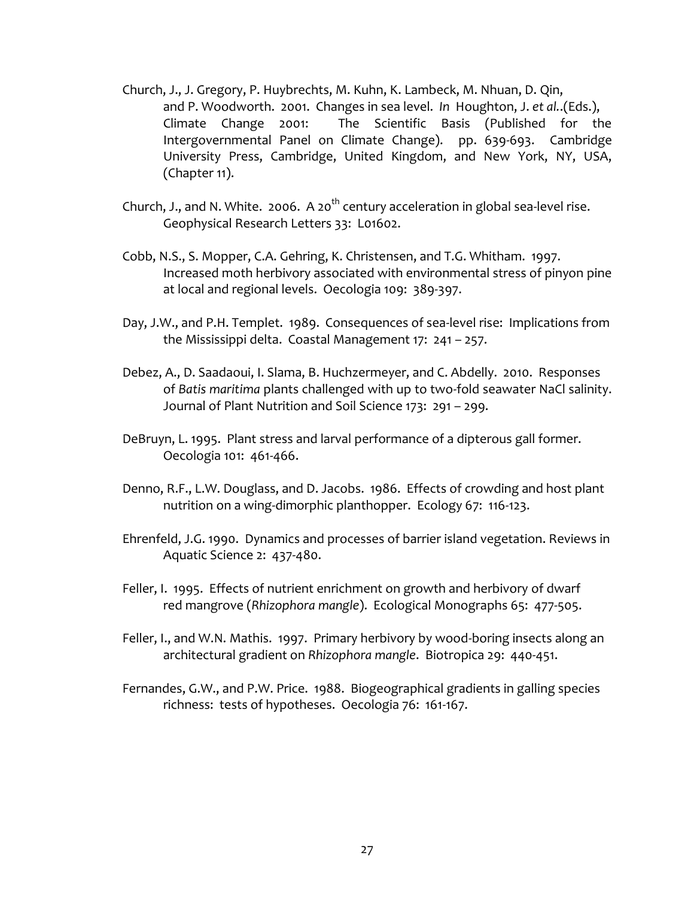- Church, J., J. Gregory, P. Huybrechts, M. Kuhn, K. Lambeck, M. Nhuan, D. Qin, and P. Woodworth. 2001. Changes in sea level. *In* Houghton, J. *et al.*.(Eds.), Climate Change 2001: The Scientific Basis (Published for the Intergovernmental Panel on Climate Change). pp. 639-693. Cambridge University Press, Cambridge, United Kingdom, and New York, NY, USA, (Chapter 11).
- Church, J., and N. White. 2006. A 20<sup>th</sup> century acceleration in global sea-level rise. Geophysical Research Letters 33: L01602.
- Cobb, N.S., S. Mopper, C.A. Gehring, K. Christensen, and T.G. Whitham. 1997. Increased moth herbivory associated with environmental stress of pinyon pine at local and regional levels. Oecologia 109: 389-397.
- Day, J.W., and P.H. Templet. 1989. Consequences of sea-level rise: Implications from the Mississippi delta. Coastal Management 17: 241 – 257.
- Debez, A., D. Saadaoui, I. Slama, B. Huchzermeyer, and C. Abdelly. 2010. Responses of *Batis maritima* plants challenged with up to two-fold seawater NaCl salinity. Journal of Plant Nutrition and Soil Science 173: 291 – 299.
- DeBruyn, L. 1995. Plant stress and larval performance of a dipterous gall former. Oecologia 101: 461-466.
- Denno, R.F., L.W. Douglass, and D. Jacobs. 1986. Effects of crowding and host plant nutrition on a wing-dimorphic planthopper. Ecology 67: 116-123.
- Ehrenfeld, J.G. 1990. Dynamics and processes of barrier island vegetation. Reviews in Aquatic Science 2: 437-480.
- Feller, I. 1995. Effects of nutrient enrichment on growth and herbivory of dwarf red mangrove (*Rhizophora mangle*). Ecological Monographs 65: 477-505.
- Feller, I., and W.N. Mathis. 1997. Primary herbivory by wood-boring insects along an architectural gradient on *Rhizophora mangle*. Biotropica 29: 440-451.
- Fernandes, G.W., and P.W. Price. 1988. Biogeographical gradients in galling species richness: tests of hypotheses. Oecologia 76: 161-167.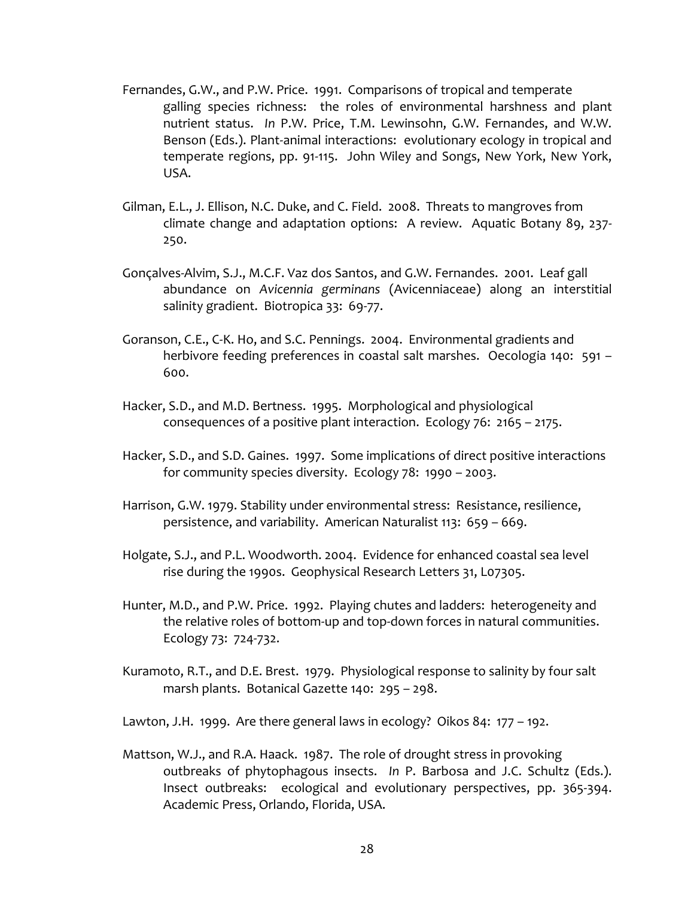- Fernandes, G.W., and P.W. Price. 1991. Comparisons of tropical and temperate galling species richness: the roles of environmental harshness and plant nutrient status. *In* P.W. Price, T.M. Lewinsohn, G.W. Fernandes, and W.W. Benson (Eds.). Plant-animal interactions: evolutionary ecology in tropical and temperate regions, pp. 91-115. John Wiley and Songs, New York, New York, USA.
- Gilman, E.L., J. Ellison, N.C. Duke, and C. Field. 2008. Threats to mangroves from climate change and adaptation options: A review. Aquatic Botany 89, 237- 250.
- Gonçalves-Alvim, S.J., M.C.F. Vaz dos Santos, and G.W. Fernandes. 2001. Leaf gall abundance on *Avicennia germinans* (Avicenniaceae) along an interstitial salinity gradient. Biotropica 33: 69-77.
- Goranson, C.E., C-K. Ho, and S.C. Pennings. 2004. Environmental gradients and herbivore feeding preferences in coastal salt marshes. Oecologia 140: 591 – 600.
- Hacker, S.D., and M.D. Bertness. 1995. Morphological and physiological consequences of a positive plant interaction. Ecology 76: 2165 – 2175.
- Hacker, S.D., and S.D. Gaines. 1997. Some implications of direct positive interactions for community species diversity. Ecology 78: 1990 – 2003.
- Harrison, G.W. 1979. Stability under environmental stress: Resistance, resilience, persistence, and variability. American Naturalist 113: 659 – 669.
- Holgate, S.J., and P.L. Woodworth. 2004. Evidence for enhanced coastal sea level rise during the 1990s. Geophysical Research Letters 31, L07305.
- Hunter, M.D., and P.W. Price. 1992. Playing chutes and ladders: heterogeneity and the relative roles of bottom-up and top-down forces in natural communities. Ecology 73: 724-732.
- Kuramoto, R.T., and D.E. Brest. 1979. Physiological response to salinity by four salt marsh plants. Botanical Gazette 140: 295 – 298.
- Lawton, J.H. 1999. Are there general laws in ecology? Oikos 84: 177 192.
- Mattson, W.J., and R.A. Haack. 1987. The role of drought stress in provoking outbreaks of phytophagous insects. *In* P. Barbosa and J.C. Schultz (Eds.). Insect outbreaks: ecological and evolutionary perspectives, pp. 365-394. Academic Press, Orlando, Florida, USA.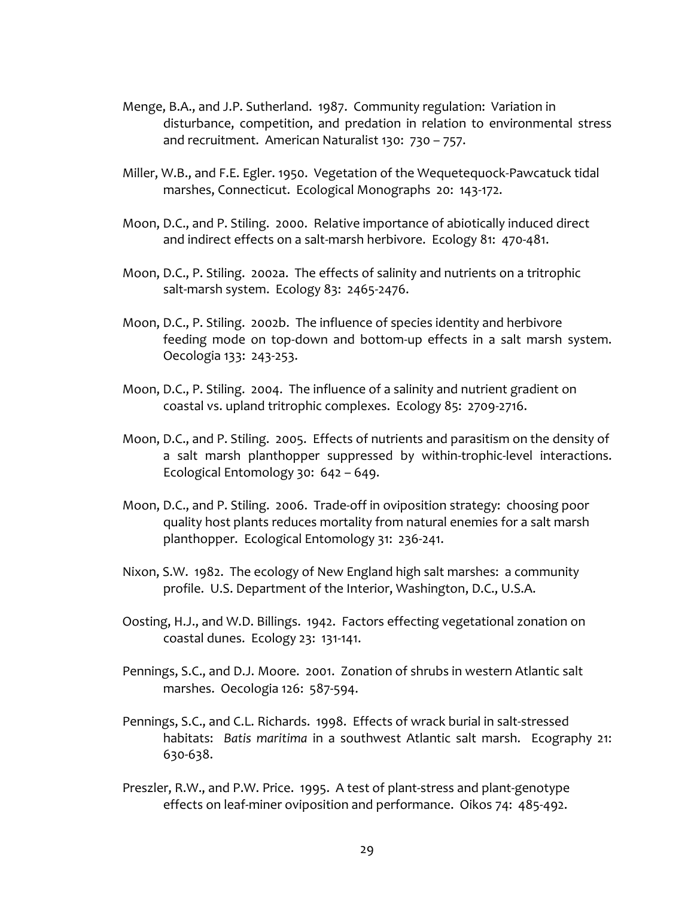- Menge, B.A., and J.P. Sutherland. 1987. Community regulation: Variation in disturbance, competition, and predation in relation to environmental stress and recruitment. American Naturalist 130: 730 – 757.
- Miller, W.B., and F.E. Egler. 1950. Vegetation of the Wequetequock-Pawcatuck tidal marshes, Connecticut. Ecological Monographs 20: 143-172.
- Moon, D.C., and P. Stiling. 2000. Relative importance of abiotically induced direct and indirect effects on a salt-marsh herbivore. Ecology 81: 470-481.
- Moon, D.C., P. Stiling. 2002a. The effects of salinity and nutrients on a tritrophic salt-marsh system. Ecology 83: 2465-2476.
- Moon, D.C., P. Stiling. 2002b. The influence of species identity and herbivore feeding mode on top-down and bottom-up effects in a salt marsh system. Oecologia 133: 243-253.
- Moon, D.C., P. Stiling. 2004. The influence of a salinity and nutrient gradient on coastal vs. upland tritrophic complexes. Ecology 85: 2709-2716.
- Moon, D.C., and P. Stiling. 2005. Effects of nutrients and parasitism on the density of a salt marsh planthopper suppressed by within-trophic-level interactions. Ecological Entomology 30: 642 – 649.
- Moon, D.C., and P. Stiling. 2006. Trade-off in oviposition strategy: choosing poor quality host plants reduces mortality from natural enemies for a salt marsh planthopper. Ecological Entomology 31: 236-241.
- Nixon, S.W. 1982. The ecology of New England high salt marshes: a community profile. U.S. Department of the Interior, Washington, D.C., U.S.A.
- Oosting, H.J., and W.D. Billings. 1942. Factors effecting vegetational zonation on coastal dunes. Ecology 23: 131-141.
- Pennings, S.C., and D.J. Moore. 2001. Zonation of shrubs in western Atlantic salt marshes. Oecologia 126: 587-594.
- Pennings, S.C., and C.L. Richards. 1998. Effects of wrack burial in salt-stressed habitats: *Batis maritima* in a southwest Atlantic salt marsh. Ecography 21: 630-638.
- Preszler, R.W., and P.W. Price. 1995. A test of plant-stress and plant-genotype effects on leaf-miner oviposition and performance. Oikos 74: 485-492.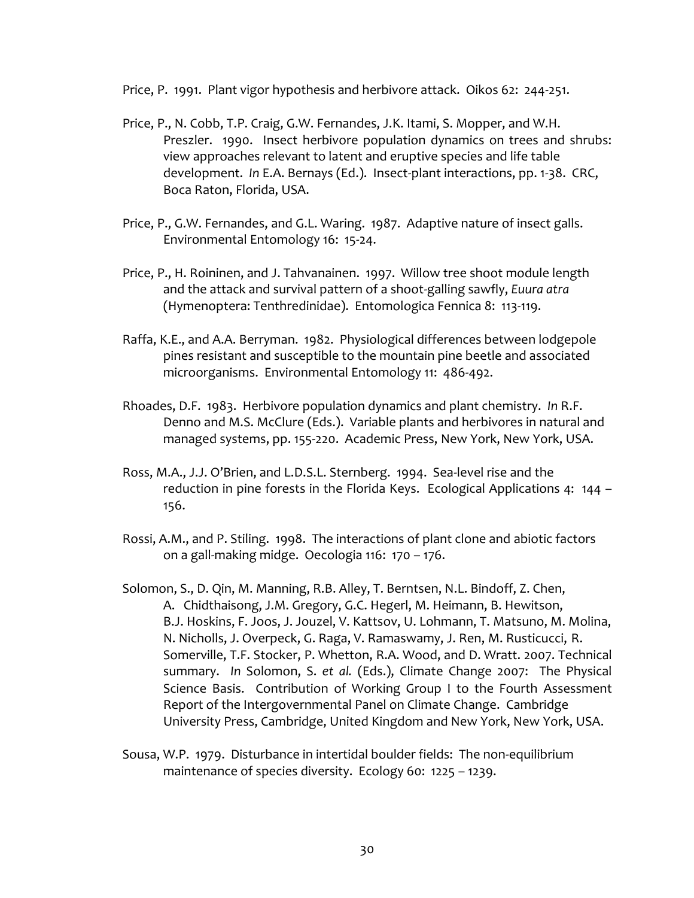Price, P. 1991. Plant vigor hypothesis and herbivore attack. Oikos 62: 244-251.

- Price, P., N. Cobb, T.P. Craig, G.W. Fernandes, J.K. Itami, S. Mopper, and W.H. Preszler. 1990. Insect herbivore population dynamics on trees and shrubs: view approaches relevant to latent and eruptive species and life table development. *In* E.A. Bernays (Ed.). Insect-plant interactions, pp. 1-38. CRC, Boca Raton, Florida, USA.
- Price, P., G.W. Fernandes, and G.L. Waring. 1987. Adaptive nature of insect galls. Environmental Entomology 16: 15-24.
- Price, P., H. Roininen, and J. Tahvanainen. 1997. Willow tree shoot module length and the attack and survival pattern of a shoot-galling sawfly, *Euura atra* (Hymenoptera: Tenthredinidae). Entomologica Fennica 8: 113-119.
- Raffa, K.E., and A.A. Berryman. 1982. Physiological differences between lodgepole pines resistant and susceptible to the mountain pine beetle and associated microorganisms. Environmental Entomology 11: 486-492.
- Rhoades, D.F. 1983. Herbivore population dynamics and plant chemistry. *In* R.F. Denno and M.S. McClure (Eds.). Variable plants and herbivores in natural and managed systems, pp. 155-220. Academic Press, New York, New York, USA.
- Ross, M.A., J.J. O'Brien, and L.D.S.L. Sternberg. 1994. Sea-level rise and the reduction in pine forests in the Florida Keys. Ecological Applications 4: 144 – 156.
- Rossi, A.M., and P. Stiling. 1998. The interactions of plant clone and abiotic factors on a gall-making midge. Oecologia 116: 170 – 176.
- Solomon, S., D. Qin, M. Manning, R.B. Alley, T. Berntsen, N.L. Bindoff, Z. Chen, A. Chidthaisong, J.M. Gregory, G.C. Hegerl, M. Heimann, B. Hewitson, B.J. Hoskins, F. Joos, J. Jouzel, V. Kattsov, U. Lohmann, T. Matsuno, M. Molina, N. Nicholls, J. Overpeck, G. Raga, V. Ramaswamy, J. Ren, M. Rusticucci, R. Somerville, T.F. Stocker, P. Whetton, R.A. Wood, and D. Wratt. 2007. Technical summary. *In* Solomon, S. *et al.* (Eds.), Climate Change 2007: The Physical Science Basis. Contribution of Working Group I to the Fourth Assessment Report of the Intergovernmental Panel on Climate Change. Cambridge University Press, Cambridge, United Kingdom and New York, New York, USA.
- Sousa, W.P. 1979. Disturbance in intertidal boulder fields: The non-equilibrium maintenance of species diversity. Ecology 60: 1225 – 1239.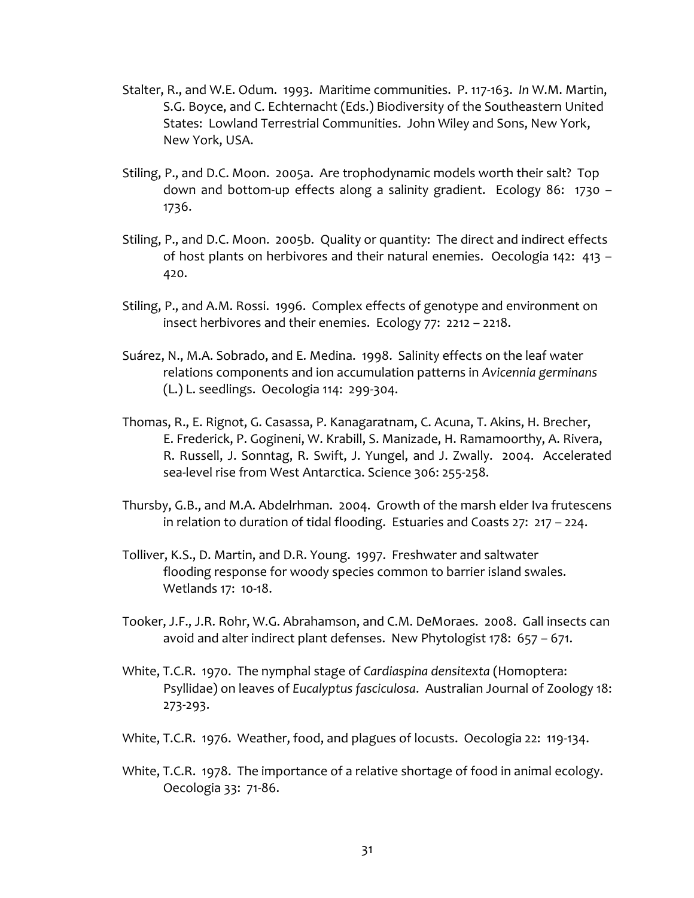- Stalter, R., and W.E. Odum. 1993. Maritime communities. P. 117-163. *In* W.M. Martin, S.G. Boyce, and C. Echternacht (Eds.) Biodiversity of the Southeastern United States: Lowland Terrestrial Communities. John Wiley and Sons, New York, New York, USA.
- Stiling, P., and D.C. Moon. 2005a. Are trophodynamic models worth their salt? Top down and bottom-up effects along a salinity gradient. Ecology 86: 1730 – 1736.
- Stiling, P., and D.C. Moon. 2005b. Quality or quantity: The direct and indirect effects of host plants on herbivores and their natural enemies. Oecologia 142: 413 – 420.
- Stiling, P., and A.M. Rossi. 1996. Complex effects of genotype and environment on insect herbivores and their enemies. Ecology 77: 2212 – 2218.
- Suárez, N., M.A. Sobrado, and E. Medina. 1998. Salinity effects on the leaf water relations components and ion accumulation patterns in *Avicennia germinans* (L.) L. seedlings. Oecologia 114: 299-304.
- Thomas, R., E. Rignot, G. Casassa, P. Kanagaratnam, C. Acuna, T. Akins, H. Brecher, E. Frederick, P. Gogineni, W. Krabill, S. Manizade, H. Ramamoorthy, A. Rivera, R. Russell, J. Sonntag, R. Swift, J. Yungel, and J. Zwally. 2004. Accelerated sea-level rise from West Antarctica. Science 306: 255-258.
- Thursby, G.B., and M.A. Abdelrhman. 2004. Growth of the marsh elder Iva frutescens in relation to duration of tidal flooding. Estuaries and Coasts 27: 217 – 224.
- Tolliver, K.S., D. Martin, and D.R. Young. 1997. Freshwater and saltwater flooding response for woody species common to barrier island swales. Wetlands 17: 10-18.
- Tooker, J.F., J.R. Rohr, W.G. Abrahamson, and C.M. DeMoraes. 2008. Gall insects can avoid and alter indirect plant defenses. New Phytologist 178: 657 – 671.
- White, T.C.R. 1970. The nymphal stage of *Cardiaspina densitexta* (Homoptera: Psyllidae) on leaves of *Eucalyptus fasciculosa*. Australian Journal of Zoology 18: 273-293.
- White, T.C.R. 1976. Weather, food, and plagues of locusts. Oecologia 22: 119-134.
- White, T.C.R. 1978. The importance of a relative shortage of food in animal ecology. Oecologia 33: 71-86.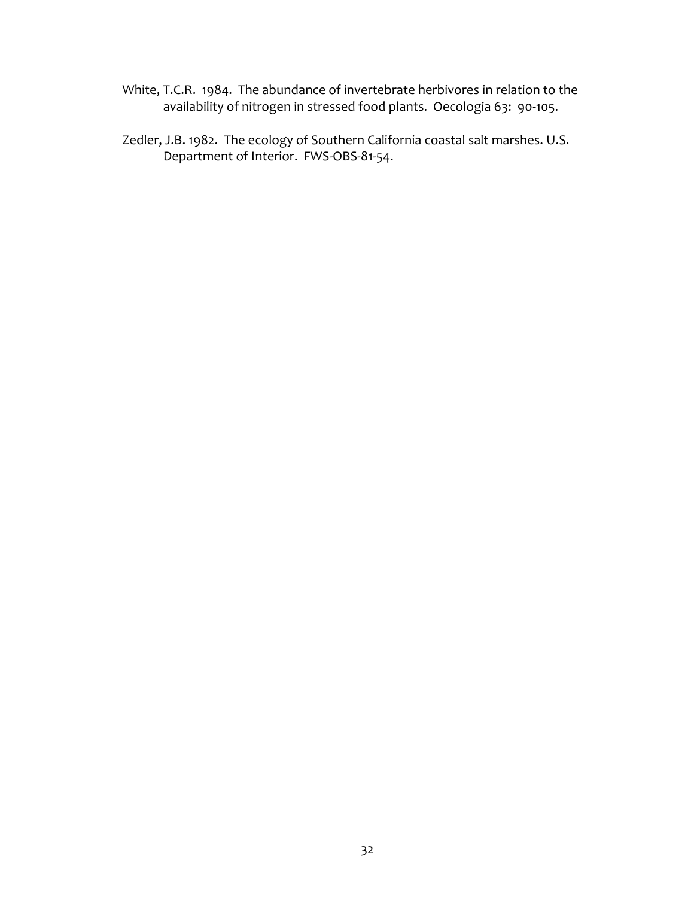- White, T.C.R. 1984. The abundance of invertebrate herbivores in relation to the availability of nitrogen in stressed food plants. Oecologia 63: 90-105.
- Zedler, J.B. 1982. The ecology of Southern California coastal salt marshes. U.S. Department of Interior. FWS-OBS-81-54.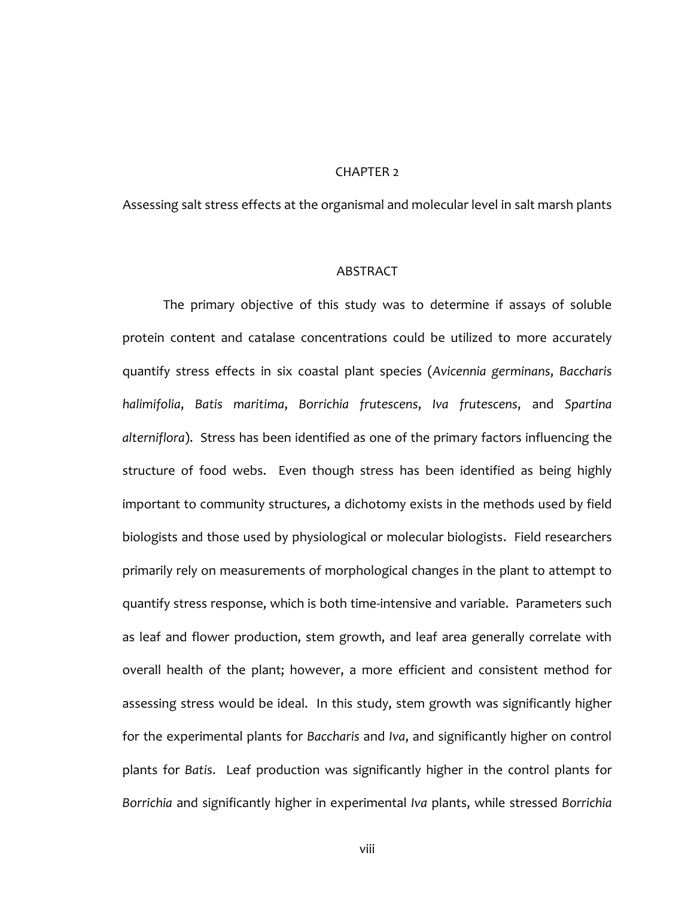## CHAPTER 2

Assessing salt stress effects at the organismal and molecular level in salt marsh plants

# **ABSTRACT**

The primary objective of this study was to determine if assays of soluble protein content and catalase concentrations could be utilized to more accurately quantify stress effects in six coastal plant species (*Avicennia germinans*, *Baccharis halimifolia*, *Batis maritima*, *Borrichia frutescens*, *Iva frutescens*, and *Spartina alterniflora*). Stress has been identified as one of the primary factors influencing the structure of food webs. Even though stress has been identified as being highly important to community structures, a dichotomy exists in the methods used by field biologists and those used by physiological or molecular biologists. Field researchers primarily rely on measurements of morphological changes in the plant to attempt to quantify stress response, which is both time-intensive and variable. Parameters such as leaf and flower production, stem growth, and leaf area generally correlate with overall health of the plant; however, a more efficient and consistent method for assessing stress would be ideal. In this study, stem growth was significantly higher for the experimental plants for *Baccharis* and *Iva*, and significantly higher on control plants for *Batis*. Leaf production was significantly higher in the control plants for *Borrichia* and significantly higher in experimental *Iva* plants, while stressed *Borrichia*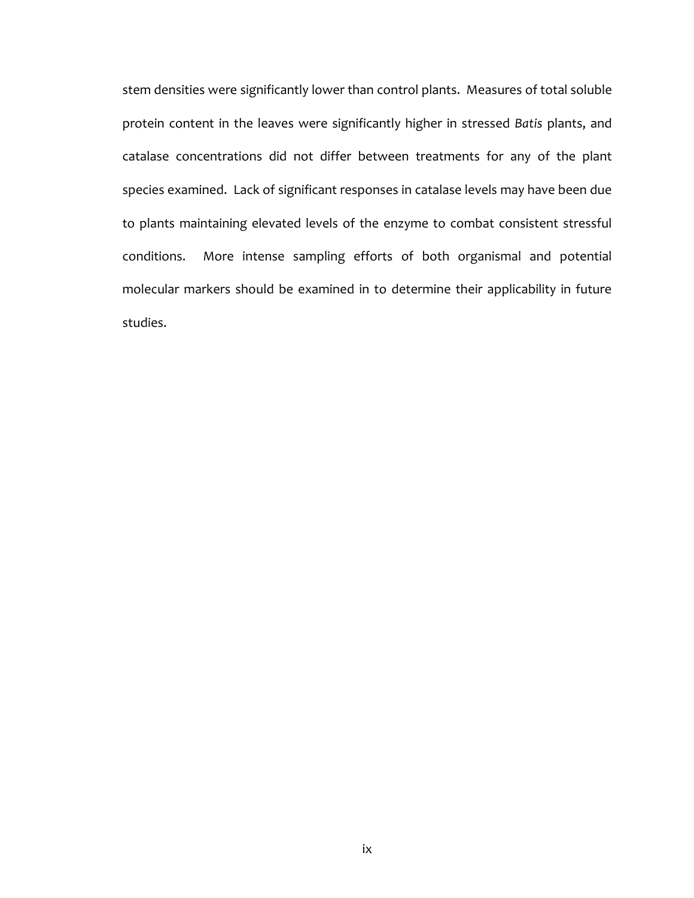stem densities were significantly lower than control plants. Measures of total soluble protein content in the leaves were significantly higher in stressed *Batis* plants, and catalase concentrations did not differ between treatments for any of the plant species examined. Lack of significant responses in catalase levels may have been due to plants maintaining elevated levels of the enzyme to combat consistent stressful conditions. More intense sampling efforts of both organismal and potential molecular markers should be examined in to determine their applicability in future studies.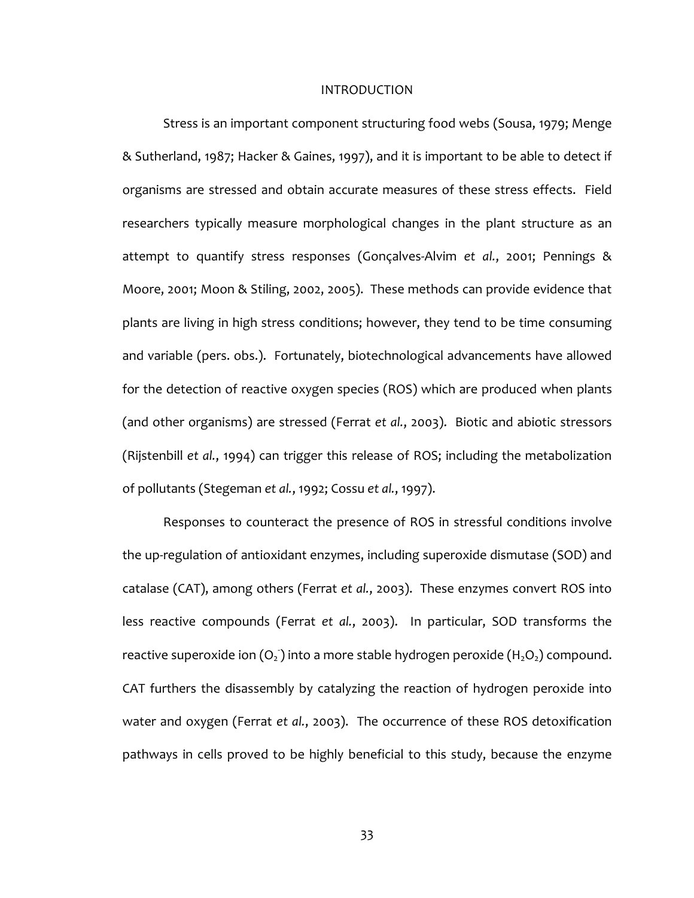#### INTRODUCTION

Stress is an important component structuring food webs (Sousa, 1979; Menge & Sutherland, 1987; Hacker & Gaines, 1997), and it is important to be able to detect if organisms are stressed and obtain accurate measures of these stress effects. Field researchers typically measure morphological changes in the plant structure as an attempt to quantify stress responses (Gonçalves-Alvim *et al.*, 2001; Pennings & Moore, 2001; Moon & Stiling, 2002, 2005). These methods can provide evidence that plants are living in high stress conditions; however, they tend to be time consuming and variable (pers. obs.). Fortunately, biotechnological advancements have allowed for the detection of reactive oxygen species (ROS) which are produced when plants (and other organisms) are stressed (Ferrat *et al.*, 2003). Biotic and abiotic stressors (Rijstenbill *et al.*, 1994) can trigger this release of ROS; including the metabolization of pollutants (Stegeman *et al.*, 1992; Cossu *et al.*, 1997).

Responses to counteract the presence of ROS in stressful conditions involve the up-regulation of antioxidant enzymes, including superoxide dismutase (SOD) and catalase (CAT), among others (Ferrat *et al.*, 2003). These enzymes convert ROS into less reactive compounds (Ferrat *et al.*, 2003). In particular, SOD transforms the reactive superoxide ion  $(O_2)$  into a more stable hydrogen peroxide  $(\mathsf{H}_2 O_2)$  compound. CAT furthers the disassembly by catalyzing the reaction of hydrogen peroxide into water and oxygen (Ferrat *et al.*, 2003). The occurrence of these ROS detoxification pathways in cells proved to be highly beneficial to this study, because the enzyme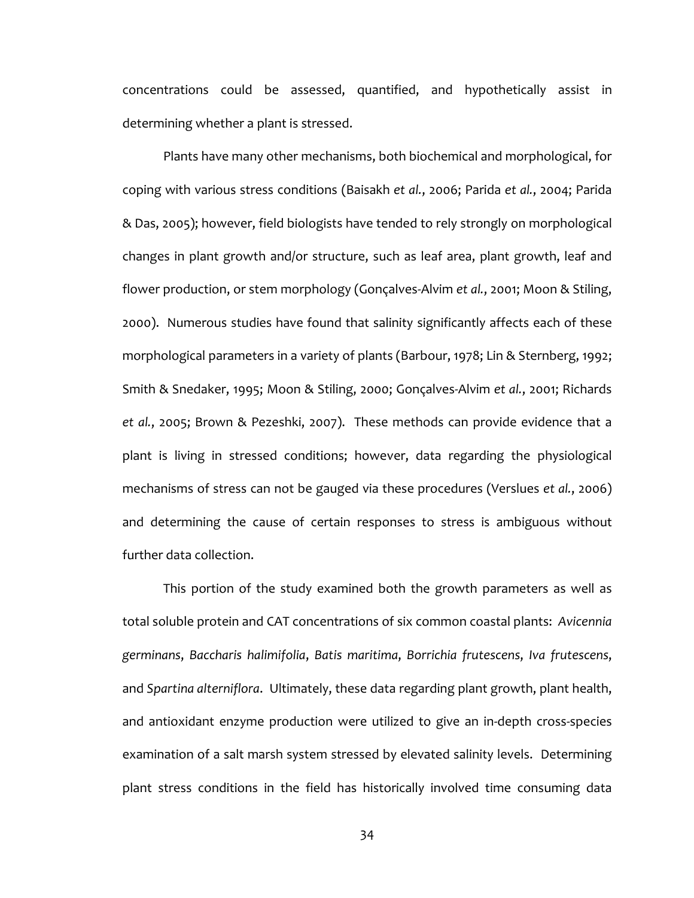concentrations could be assessed, quantified, and hypothetically assist in determining whether a plant is stressed.

Plants have many other mechanisms, both biochemical and morphological, for coping with various stress conditions (Baisakh *et al.*, 2006; Parida *et al.*, 2004; Parida & Das, 2005); however, field biologists have tended to rely strongly on morphological changes in plant growth and/or structure, such as leaf area, plant growth, leaf and flower production, or stem morphology (Gonçalves-Alvim *et al.*, 2001; Moon & Stiling, 2000). Numerous studies have found that salinity significantly affects each of these morphological parameters in a variety of plants (Barbour, 1978; Lin & Sternberg, 1992; Smith & Snedaker, 1995; Moon & Stiling, 2000; Gonçalves-Alvim *et al.*, 2001; Richards *et al.*, 2005; Brown & Pezeshki, 2007). These methods can provide evidence that a plant is living in stressed conditions; however, data regarding the physiological mechanisms of stress can not be gauged via these procedures (Verslues *et al.*, 2006) and determining the cause of certain responses to stress is ambiguous without further data collection.

This portion of the study examined both the growth parameters as well as total soluble protein and CAT concentrations of six common coastal plants: *Avicennia germinans*, *Baccharis halimifolia*, *Batis maritima*, *Borrichia frutescens*, *Iva frutescens*, and *Spartina alterniflora*. Ultimately, these data regarding plant growth, plant health, and antioxidant enzyme production were utilized to give an in-depth cross-species examination of a salt marsh system stressed by elevated salinity levels. Determining plant stress conditions in the field has historically involved time consuming data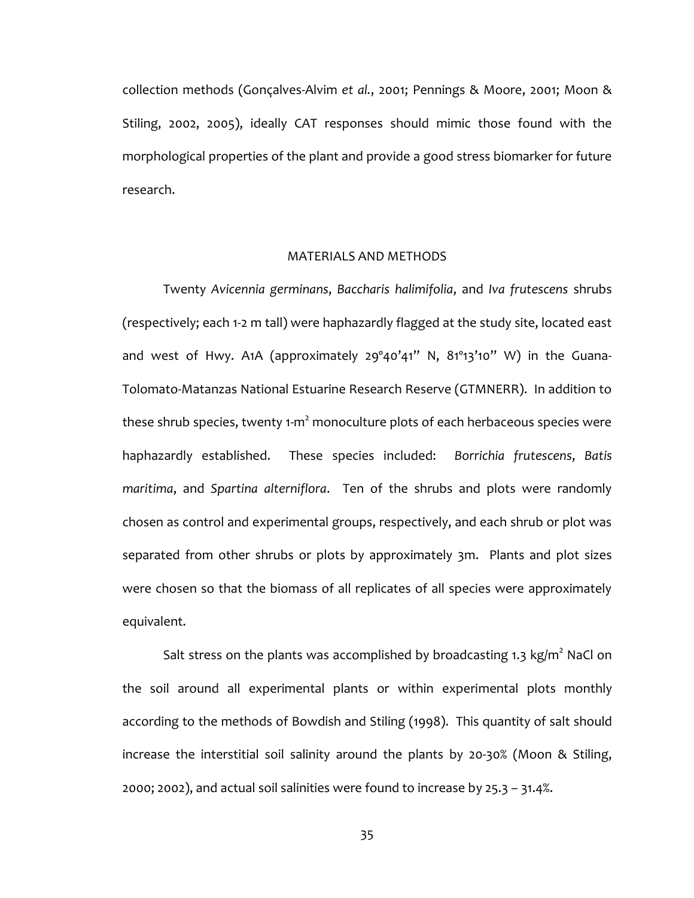collection methods (Gonçalves-Alvim *et al.*, 2001; Pennings & Moore, 2001; Moon & Stiling, 2002, 2005), ideally CAT responses should mimic those found with the morphological properties of the plant and provide a good stress biomarker for future research.

# MATERIALS AND METHODS

Twenty *Avicennia germinans*, *Baccharis halimifolia*, and *Iva frutescens* shrubs (respectively; each 1-2 m tall) were haphazardly flagged at the study site, located east and west of Hwy. A1A (approximately 29º40'41" N, 81º13'10" W) in the Guana-Tolomato-Matanzas National Estuarine Research Reserve (GTMNERR). In addition to these shrub species, twenty 1-m $^2$  monoculture plots of each herbaceous species were haphazardly established. These species included: *Borrichia frutescens*, *Batis maritima*, and *Spartina alterniflora*. Ten of the shrubs and plots were randomly chosen as control and experimental groups, respectively, and each shrub or plot was separated from other shrubs or plots by approximately 3m. Plants and plot sizes were chosen so that the biomass of all replicates of all species were approximately equivalent.

Salt stress on the plants was accomplished by broadcasting 1.3 kg/m<sup>2</sup> NaCl on the soil around all experimental plants or within experimental plots monthly according to the methods of Bowdish and Stiling (1998). This quantity of salt should increase the interstitial soil salinity around the plants by 20-30% (Moon & Stiling, 2000; 2002), and actual soil salinities were found to increase by 25.3 – 31.4%.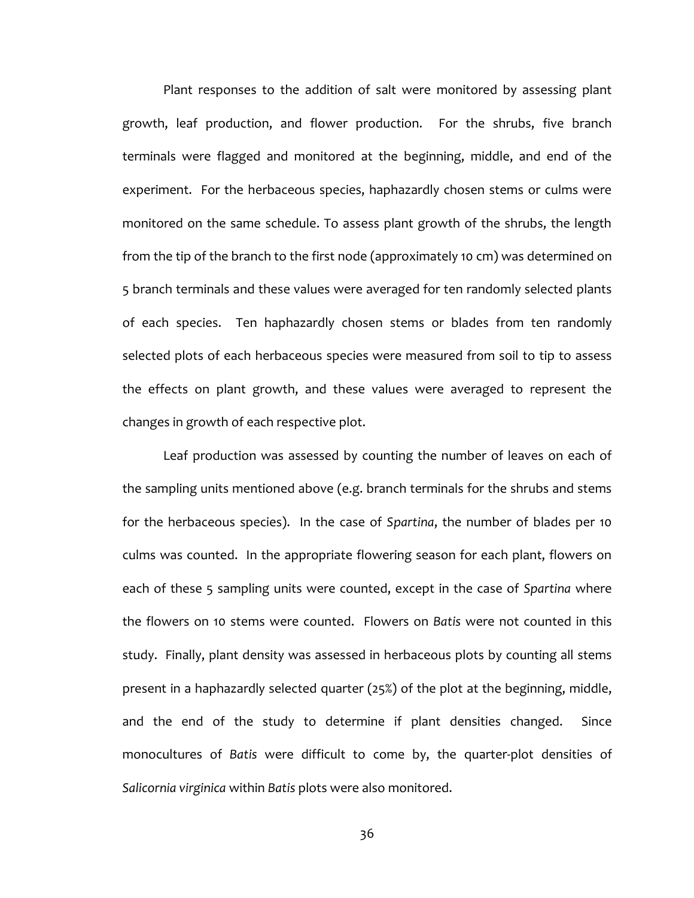Plant responses to the addition of salt were monitored by assessing plant growth, leaf production, and flower production. For the shrubs, five branch terminals were flagged and monitored at the beginning, middle, and end of the experiment. For the herbaceous species, haphazardly chosen stems or culms were monitored on the same schedule. To assess plant growth of the shrubs, the length from the tip of the branch to the first node (approximately 10 cm) was determined on 5 branch terminals and these values were averaged for ten randomly selected plants of each species. Ten haphazardly chosen stems or blades from ten randomly selected plots of each herbaceous species were measured from soil to tip to assess the effects on plant growth, and these values were averaged to represent the changes in growth of each respective plot.

Leaf production was assessed by counting the number of leaves on each of the sampling units mentioned above (e.g. branch terminals for the shrubs and stems for the herbaceous species). In the case of *Spartina*, the number of blades per 10 culms was counted. In the appropriate flowering season for each plant, flowers on each of these 5 sampling units were counted, except in the case of *Spartina* where the flowers on 10 stems were counted. Flowers on *Batis* were not counted in this study. Finally, plant density was assessed in herbaceous plots by counting all stems present in a haphazardly selected quarter (25%) of the plot at the beginning, middle, and the end of the study to determine if plant densities changed. Since monocultures of *Batis* were difficult to come by, the quarter-plot densities of *Salicornia virginica* within *Batis* plots were also monitored.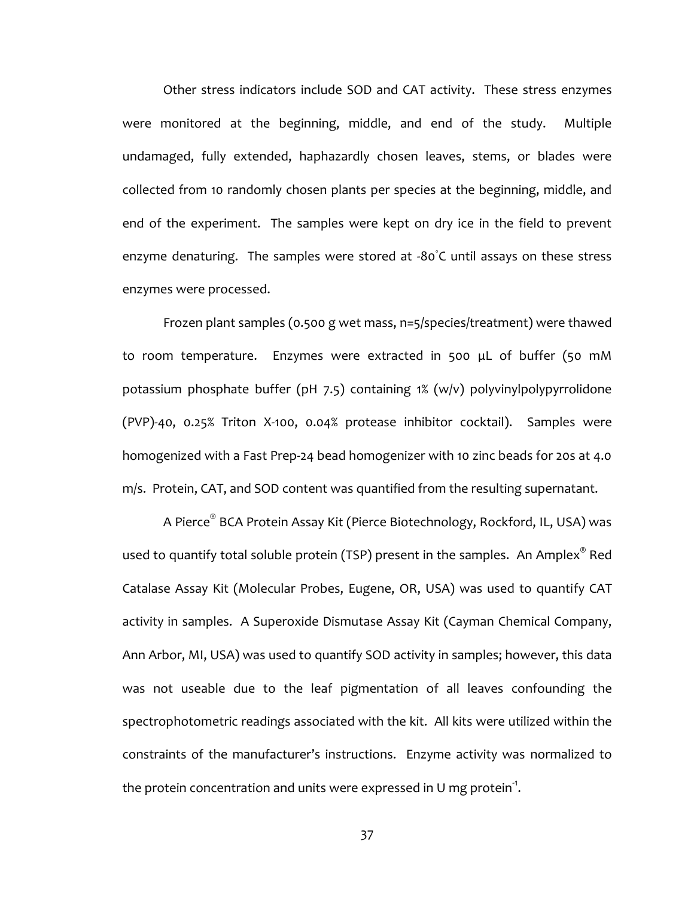Other stress indicators include SOD and CAT activity. These stress enzymes were monitored at the beginning, middle, and end of the study. Multiple undamaged, fully extended, haphazardly chosen leaves, stems, or blades were collected from 10 randomly chosen plants per species at the beginning, middle, and end of the experiment. The samples were kept on dry ice in the field to prevent enzyme denaturing. The samples were stored at -80℃ until assays on these stress enzymes were processed.

Frozen plant samples (0.500 g wet mass, n=5/species/treatment) were thawed to room temperature. Enzymes were extracted in 500 μL of buffer (50 mM potassium phosphate buffer (pH 7.5) containing 1% (w/v) polyvinylpolypyrrolidone (PVP)-40, 0.25% Triton X-100, 0.04% protease inhibitor cocktail). Samples were homogenized with a Fast Prep-24 bead homogenizer with 10 zinc beads for 20s at 4.0 m/s. Protein, CAT, and SOD content was quantified from the resulting supernatant.

A Pierce® BCA Protein Assay Kit (Pierce Biotechnology, Rockford, IL, USA) was used to quantify total soluble protein (TSP) present in the samples.  $\,$  An Amplex $^\circ$  Red Catalase Assay Kit (Molecular Probes, Eugene, OR, USA) was used to quantify CAT activity in samples. A Superoxide Dismutase Assay Kit (Cayman Chemical Company, Ann Arbor, MI, USA) was used to quantify SOD activity in samples; however, this data was not useable due to the leaf pigmentation of all leaves confounding the spectrophotometric readings associated with the kit. All kits were utilized within the constraints of the manufacturer's instructions. Enzyme activity was normalized to the protein concentration and units were expressed in U mg protein $^{\text{-}1}$ .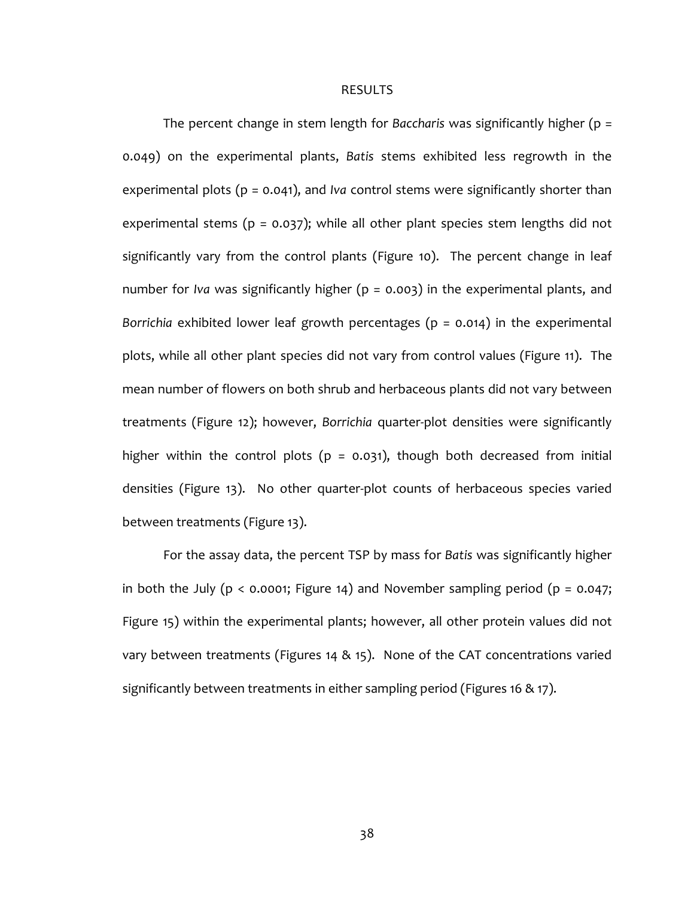#### RESULTS

The percent change in stem length for *Baccharis* was significantly higher (p = 0.049) on the experimental plants, *Batis* stems exhibited less regrowth in the experimental plots (p = 0.041), and *Iva* control stems were significantly shorter than experimental stems ( $p = 0.037$ ); while all other plant species stem lengths did not significantly vary from the control plants (Figure 10). The percent change in leaf number for *Iva* was significantly higher (p = 0.003) in the experimental plants, and *Borrichia* exhibited lower leaf growth percentages (p = 0.014) in the experimental plots, while all other plant species did not vary from control values (Figure 11). The mean number of flowers on both shrub and herbaceous plants did not vary between treatments (Figure 12); however, *Borrichia* quarter-plot densities were significantly higher within the control plots ( $p = 0.031$ ), though both decreased from initial densities (Figure 13). No other quarter-plot counts of herbaceous species varied between treatments (Figure 13).

For the assay data, the percent TSP by mass for *Batis* was significantly higher in both the July ( $p < 0.0001$ ; Figure 14) and November sampling period ( $p = 0.047$ ; Figure 15) within the experimental plants; however, all other protein values did not vary between treatments (Figures 14 & 15). None of the CAT concentrations varied significantly between treatments in either sampling period (Figures 16 & 17).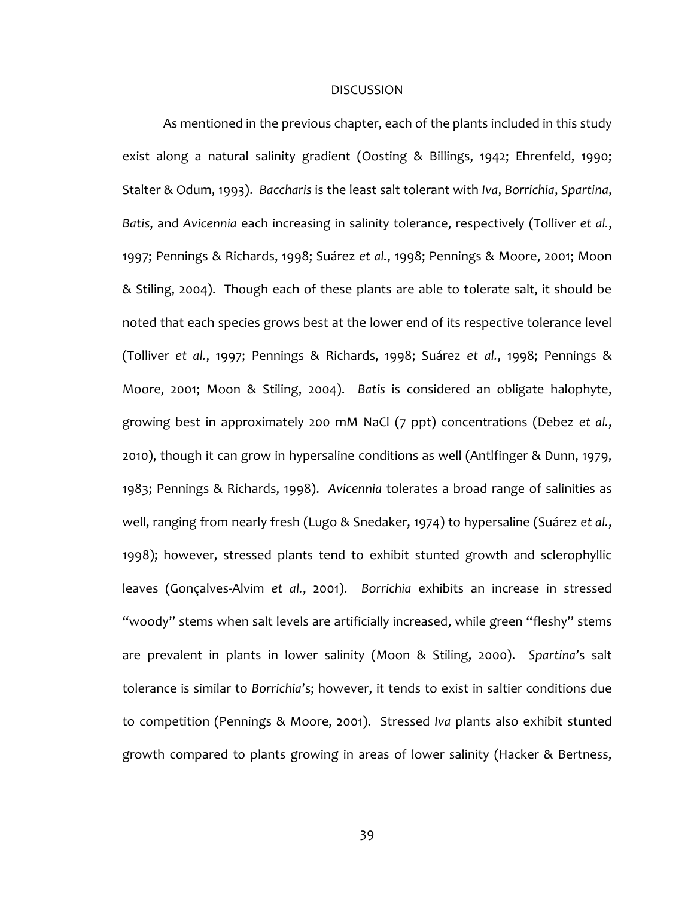# DISCUSSION

As mentioned in the previous chapter, each of the plants included in this study exist along a natural salinity gradient (Oosting & Billings, 1942; Ehrenfeld, 1990; Stalter & Odum, 1993). *Baccharis* is the least salt tolerant with *Iva*, *Borrichia*, *Spartina*, *Batis*, and *Avicennia* each increasing in salinity tolerance, respectively (Tolliver *et al.*, 1997; Pennings & Richards, 1998; Suárez *et al.*, 1998; Pennings & Moore, 2001; Moon & Stiling, 2004). Though each of these plants are able to tolerate salt, it should be noted that each species grows best at the lower end of its respective tolerance level (Tolliver *et al.*, 1997; Pennings & Richards, 1998; Suárez *et al.*, 1998; Pennings & Moore, 2001; Moon & Stiling, 2004). *Batis* is considered an obligate halophyte, growing best in approximately 200 mM NaCl (7 ppt) concentrations (Debez *et al.*, 2010), though it can grow in hypersaline conditions as well (Antlfinger & Dunn, 1979, 1983; Pennings & Richards, 1998). *Avicennia* tolerates a broad range of salinities as well, ranging from nearly fresh (Lugo & Snedaker, 1974) to hypersaline (Suárez *et al.*, 1998); however, stressed plants tend to exhibit stunted growth and sclerophyllic leaves (Gonçalves-Alvim *et al.*, 2001). *Borrichia* exhibits an increase in stressed "woody" stems when salt levels are artificially increased, while green "fleshy" stems are prevalent in plants in lower salinity (Moon & Stiling, 2000). *Spartina*'s salt tolerance is similar to *Borrichia*'s; however, it tends to exist in saltier conditions due to competition (Pennings & Moore, 2001). Stressed *Iva* plants also exhibit stunted growth compared to plants growing in areas of lower salinity (Hacker & Bertness,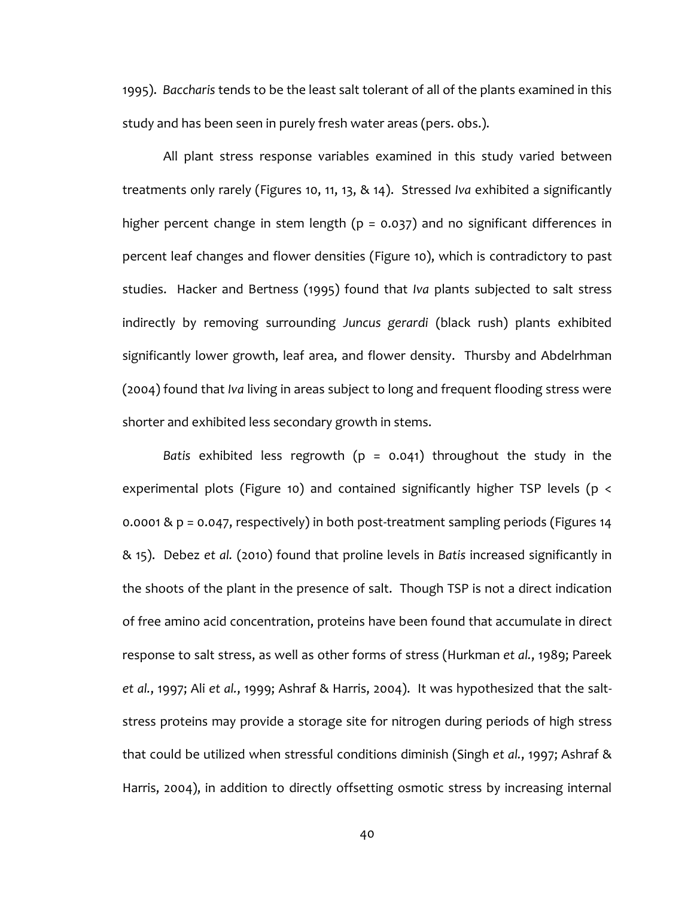1995). *Baccharis* tends to be the least salt tolerant of all of the plants examined in this study and has been seen in purely fresh water areas (pers. obs.).

All plant stress response variables examined in this study varied between treatments only rarely (Figures 10, 11, 13, & 14). Stressed *Iva* exhibited a significantly higher percent change in stem length ( $p = 0.037$ ) and no significant differences in percent leaf changes and flower densities (Figure 10), which is contradictory to past studies. Hacker and Bertness (1995) found that *Iva* plants subjected to salt stress indirectly by removing surrounding *Juncus gerardi* (black rush) plants exhibited significantly lower growth, leaf area, and flower density. Thursby and Abdelrhman (2004) found that *Iva* living in areas subject to long and frequent flooding stress were shorter and exhibited less secondary growth in stems.

*Batis* exhibited less regrowth (p = 0.041) throughout the study in the experimental plots (Figure 10) and contained significantly higher TSP levels (p < 0.0001 & p = 0.047, respectively) in both post-treatment sampling periods (Figures 14 & 15). Debez *et al.* (2010) found that proline levels in *Batis* increased significantly in the shoots of the plant in the presence of salt. Though TSP is not a direct indication of free amino acid concentration, proteins have been found that accumulate in direct response to salt stress, as well as other forms of stress (Hurkman *et al.*, 1989; Pareek *et al.*, 1997; Ali *et al.*, 1999; Ashraf & Harris, 2004). It was hypothesized that the saltstress proteins may provide a storage site for nitrogen during periods of high stress that could be utilized when stressful conditions diminish (Singh *et al.*, 1997; Ashraf & Harris, 2004), in addition to directly offsetting osmotic stress by increasing internal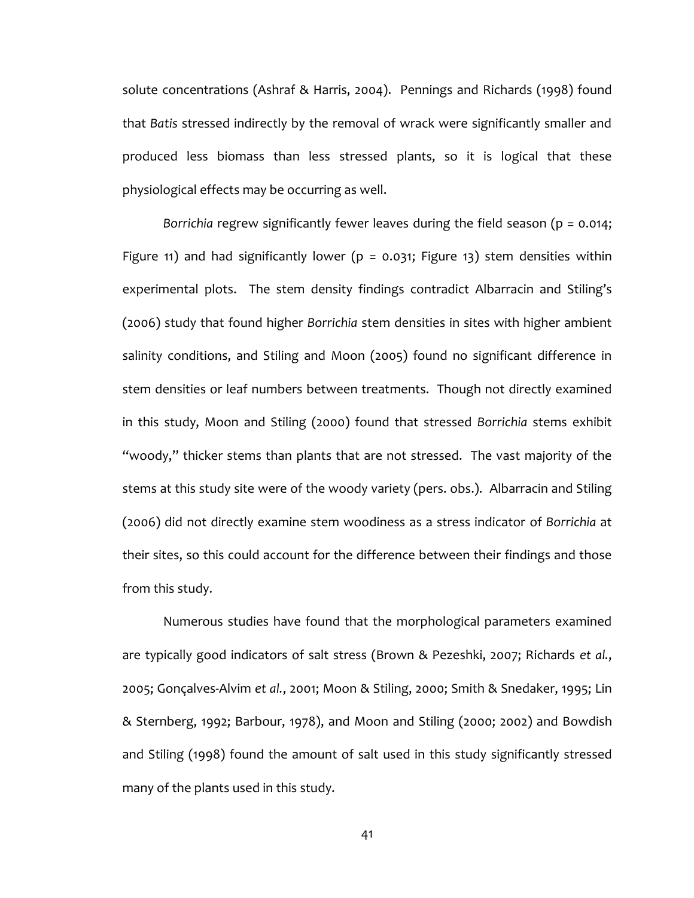solute concentrations (Ashraf & Harris, 2004). Pennings and Richards (1998) found that *Batis* stressed indirectly by the removal of wrack were significantly smaller and produced less biomass than less stressed plants, so it is logical that these physiological effects may be occurring as well.

*Borrichia* regrew significantly fewer leaves during the field season (p = 0.014; Figure 11) and had significantly lower ( $p = 0.031$ ; Figure 13) stem densities within experimental plots. The stem density findings contradict Albarracin and Stiling's (2006) study that found higher *Borrichia* stem densities in sites with higher ambient salinity conditions, and Stiling and Moon (2005) found no significant difference in stem densities or leaf numbers between treatments. Though not directly examined in this study, Moon and Stiling (2000) found that stressed *Borrichia* stems exhibit "woody," thicker stems than plants that are not stressed. The vast majority of the stems at this study site were of the woody variety (pers. obs.). Albarracin and Stiling (2006) did not directly examine stem woodiness as a stress indicator of *Borrichia* at their sites, so this could account for the difference between their findings and those from this study.

Numerous studies have found that the morphological parameters examined are typically good indicators of salt stress (Brown & Pezeshki, 2007; Richards *et al.*, 2005; Gonçalves-Alvim *et al.*, 2001; Moon & Stiling, 2000; Smith & Snedaker, 1995; Lin & Sternberg, 1992; Barbour, 1978), and Moon and Stiling (2000; 2002) and Bowdish and Stiling (1998) found the amount of salt used in this study significantly stressed many of the plants used in this study.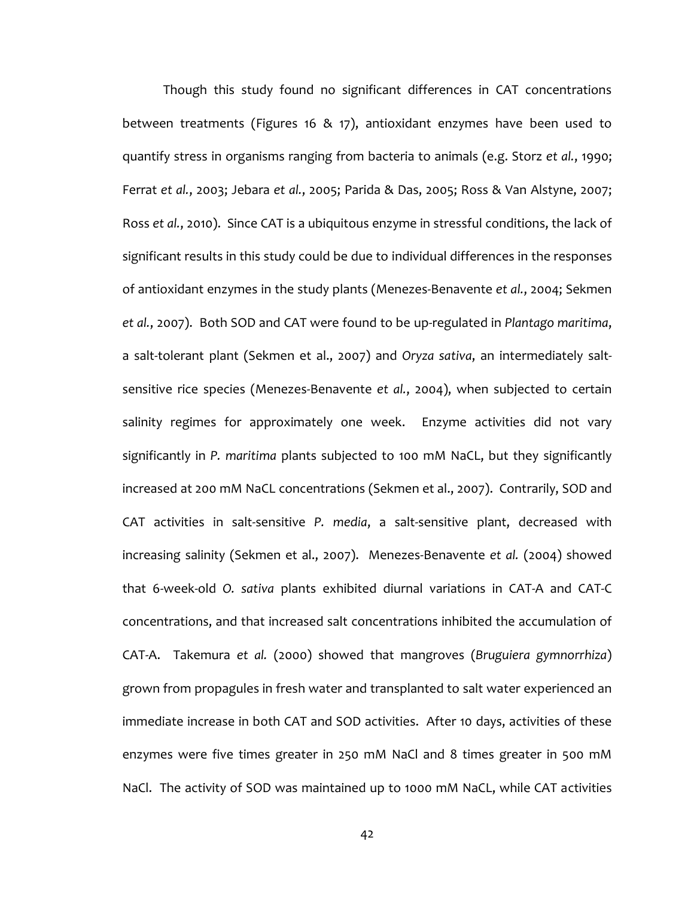Though this study found no significant differences in CAT concentrations between treatments (Figures 16 & 17), antioxidant enzymes have been used to quantify stress in organisms ranging from bacteria to animals (e.g. Storz *et al.*, 1990; Ferrat *et al.*, 2003; Jebara *et al.*, 2005; Parida & Das, 2005; Ross & Van Alstyne, 2007; Ross *et al.*, 2010). Since CAT is a ubiquitous enzyme in stressful conditions, the lack of significant results in this study could be due to individual differences in the responses of antioxidant enzymes in the study plants (Menezes-Benavente *et al.*, 2004; Sekmen *et al.*, 2007). Both SOD and CAT were found to be up-regulated in *Plantago maritima*, a salt-tolerant plant (Sekmen et al., 2007) and *Oryza sativa*, an intermediately saltsensitive rice species (Menezes-Benavente *et al.*, 2004), when subjected to certain salinity regimes for approximately one week. Enzyme activities did not vary significantly in *P. maritima* plants subjected to 100 mM NaCL, but they significantly increased at 200 mM NaCL concentrations (Sekmen et al., 2007). Contrarily, SOD and CAT activities in salt-sensitive *P. media*, a salt-sensitive plant, decreased with increasing salinity (Sekmen et al., 2007). Menezes-Benavente *et al.* (2004) showed that 6-week-old *O. sativa* plants exhibited diurnal variations in CAT-A and CAT-C concentrations, and that increased salt concentrations inhibited the accumulation of CAT-A. Takemura *et al.* (2000) showed that mangroves (*Bruguiera gymnorrhiza*) grown from propagules in fresh water and transplanted to salt water experienced an immediate increase in both CAT and SOD activities. After 10 days, activities of these enzymes were five times greater in 250 mM NaCl and 8 times greater in 500 mM NaCl. The activity of SOD was maintained up to 1000 mM NaCL, while CAT activities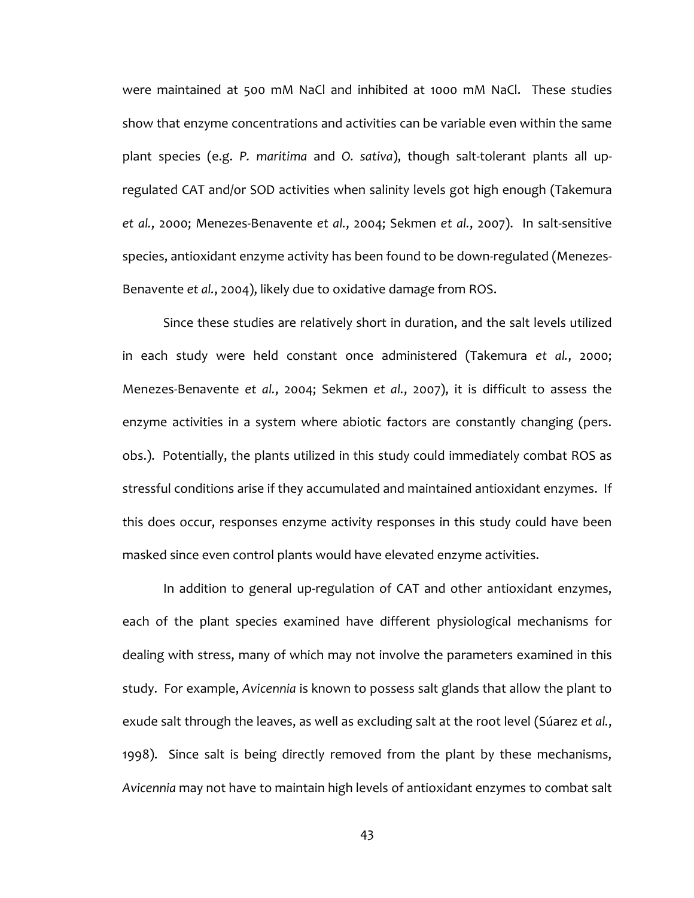were maintained at 500 mM NaCl and inhibited at 1000 mM NaCl. These studies show that enzyme concentrations and activities can be variable even within the same plant species (e.g. *P. maritima* and *O. sativa*), though salt-tolerant plants all upregulated CAT and/or SOD activities when salinity levels got high enough (Takemura *et al.*, 2000; Menezes-Benavente *et al.*, 2004; Sekmen *et al.*, 2007). In salt-sensitive species, antioxidant enzyme activity has been found to be down-regulated (Menezes-Benavente *et al.*, 2004), likely due to oxidative damage from ROS.

Since these studies are relatively short in duration, and the salt levels utilized in each study were held constant once administered (Takemura *et al.*, 2000; Menezes-Benavente *et al.*, 2004; Sekmen *et al.*, 2007), it is difficult to assess the enzyme activities in a system where abiotic factors are constantly changing (pers. obs.). Potentially, the plants utilized in this study could immediately combat ROS as stressful conditions arise if they accumulated and maintained antioxidant enzymes. If this does occur, responses enzyme activity responses in this study could have been masked since even control plants would have elevated enzyme activities.

In addition to general up-regulation of CAT and other antioxidant enzymes, each of the plant species examined have different physiological mechanisms for dealing with stress, many of which may not involve the parameters examined in this study. For example, *Avicennia* is known to possess salt glands that allow the plant to exude salt through the leaves, as well as excluding salt at the root level (Súarez *et al.*, 1998). Since salt is being directly removed from the plant by these mechanisms, *Avicennia* may not have to maintain high levels of antioxidant enzymes to combat salt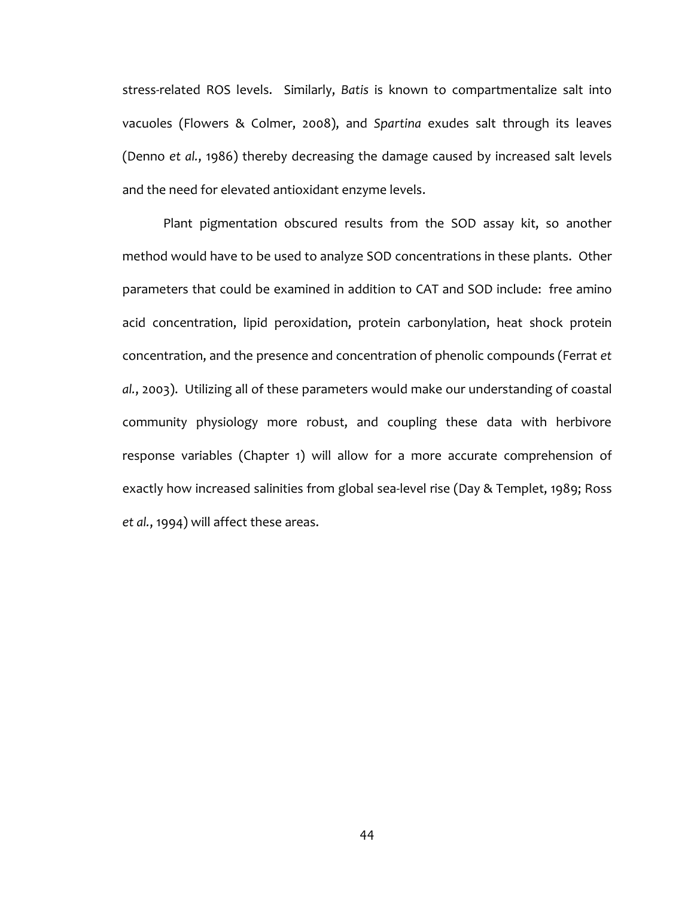stress-related ROS levels. Similarly, *Batis* is known to compartmentalize salt into vacuoles (Flowers & Colmer, 2008), and *Spartina* exudes salt through its leaves (Denno *et al.*, 1986) thereby decreasing the damage caused by increased salt levels and the need for elevated antioxidant enzyme levels.

Plant pigmentation obscured results from the SOD assay kit, so another method would have to be used to analyze SOD concentrations in these plants. Other parameters that could be examined in addition to CAT and SOD include: free amino acid concentration, lipid peroxidation, protein carbonylation, heat shock protein concentration, and the presence and concentration of phenolic compounds (Ferrat *et al.*, 2003). Utilizing all of these parameters would make our understanding of coastal community physiology more robust, and coupling these data with herbivore response variables (Chapter 1) will allow for a more accurate comprehension of exactly how increased salinities from global sea-level rise (Day & Templet, 1989; Ross *et al.*, 1994) will affect these areas.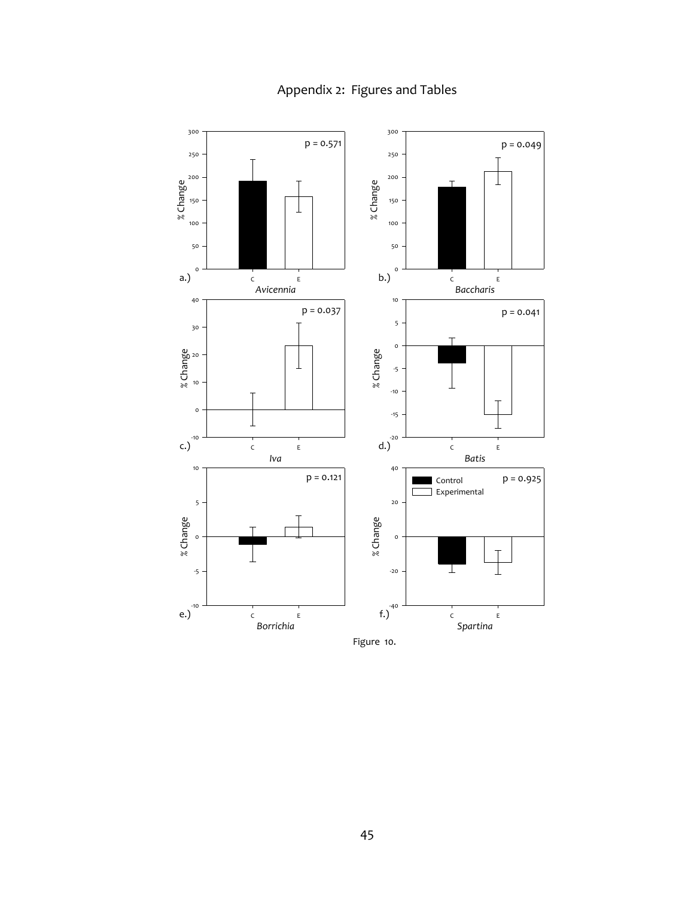

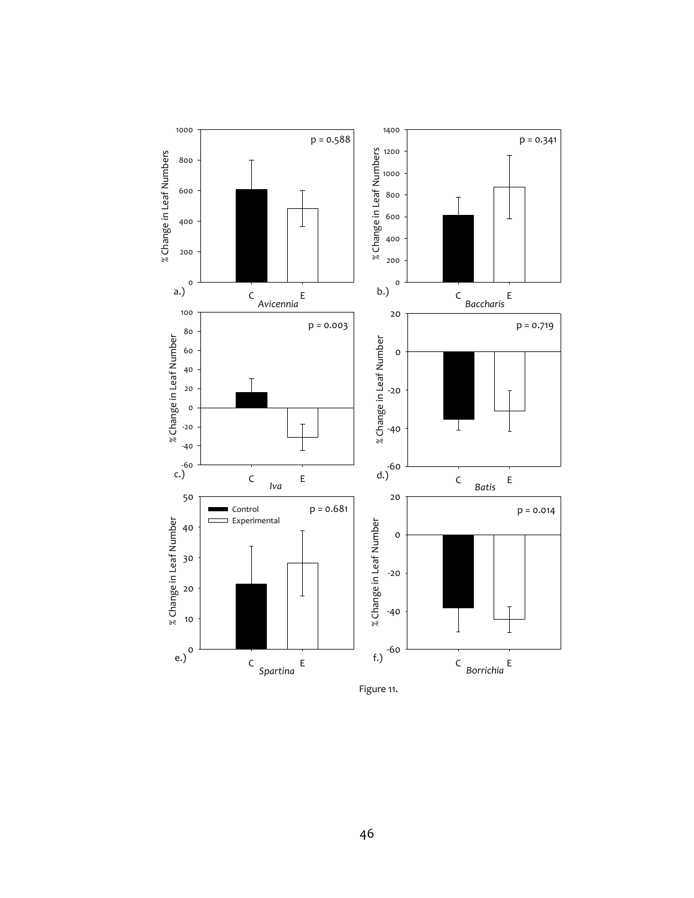

Figure 11.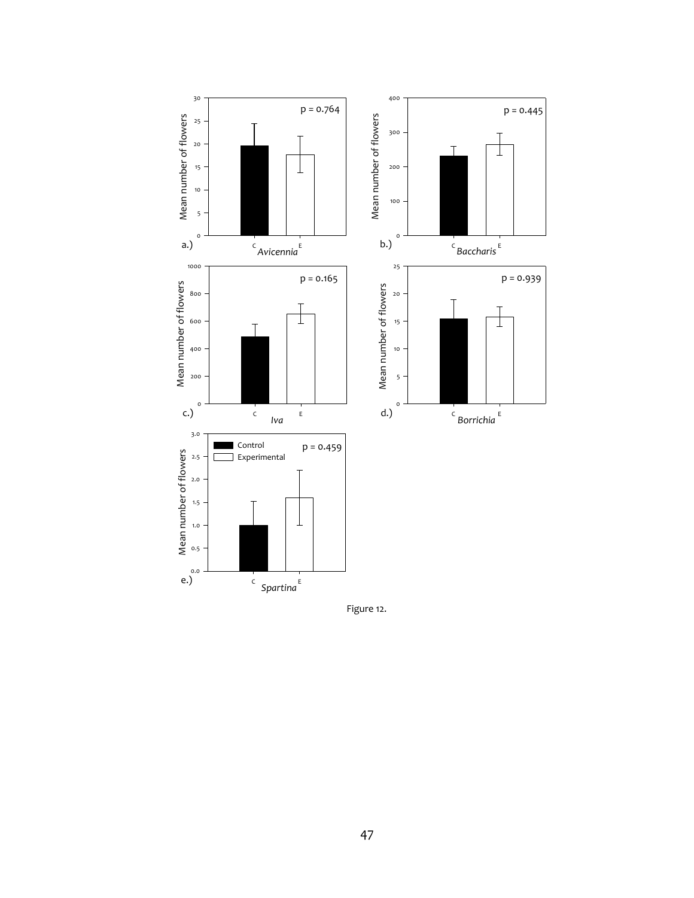

Figure 12.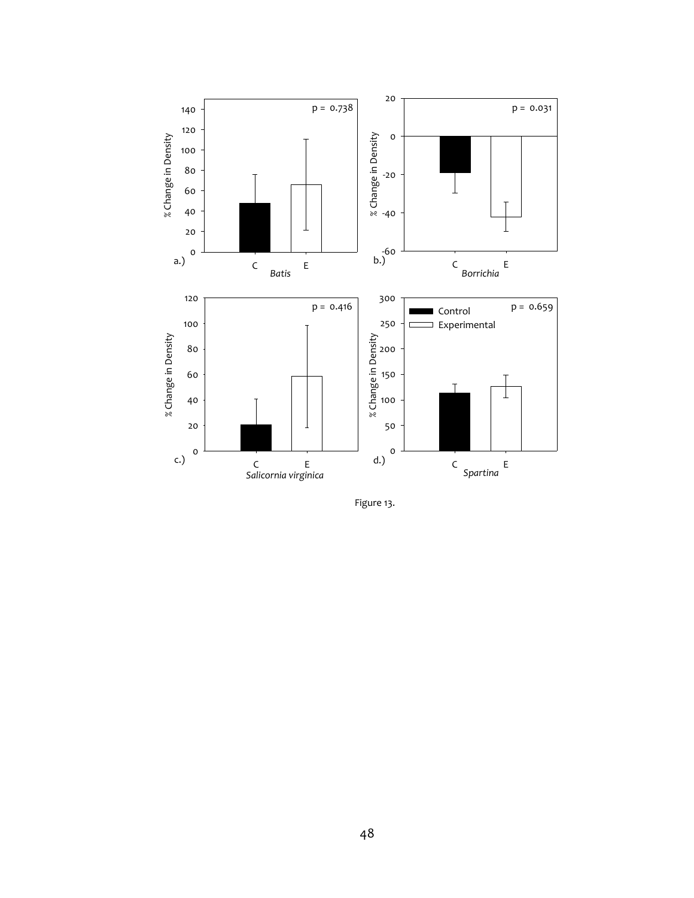

Figure 13.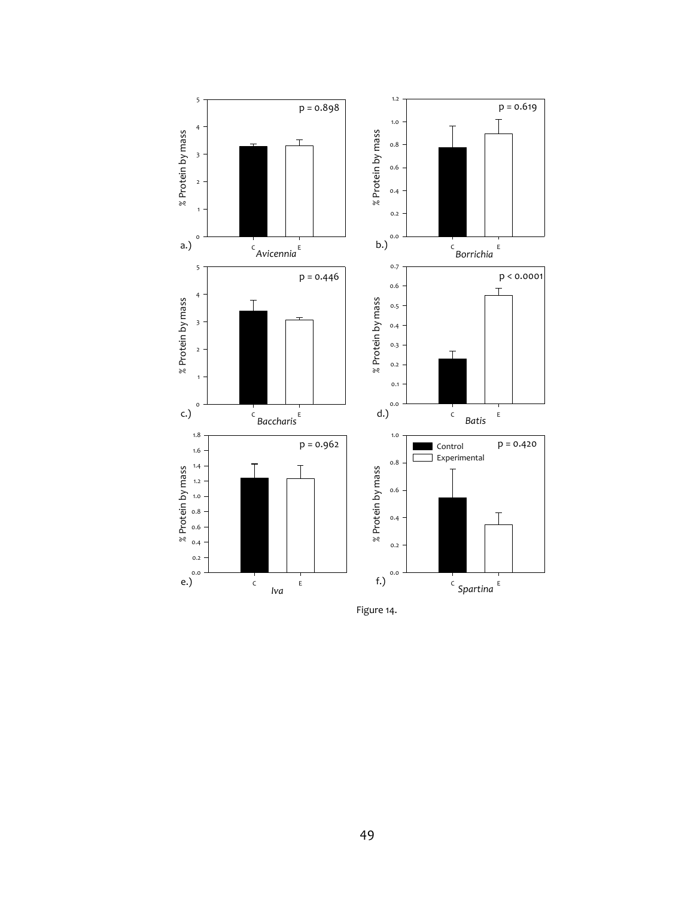

Figure 14.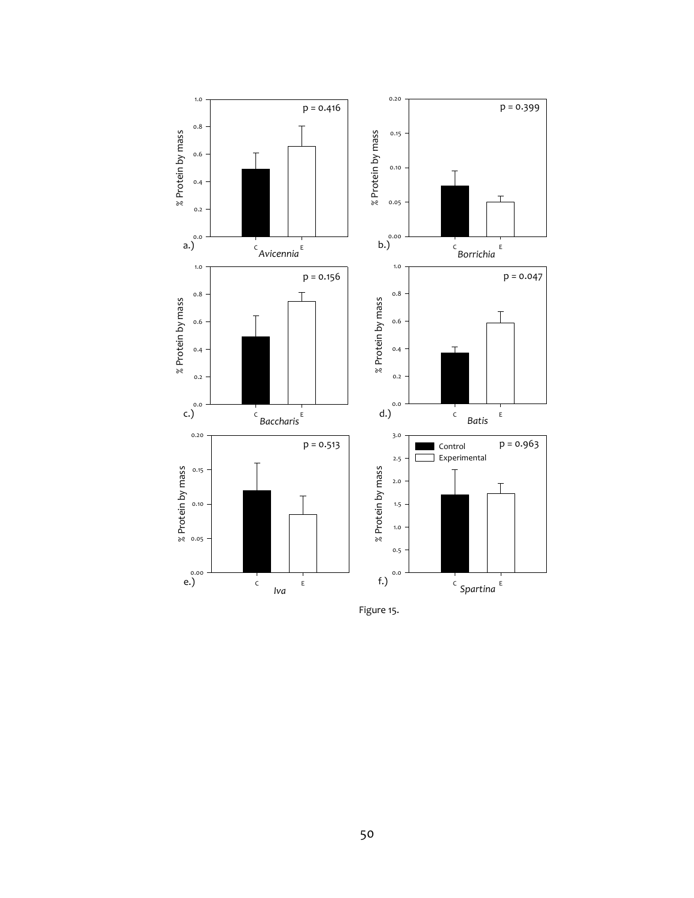

Figure 15.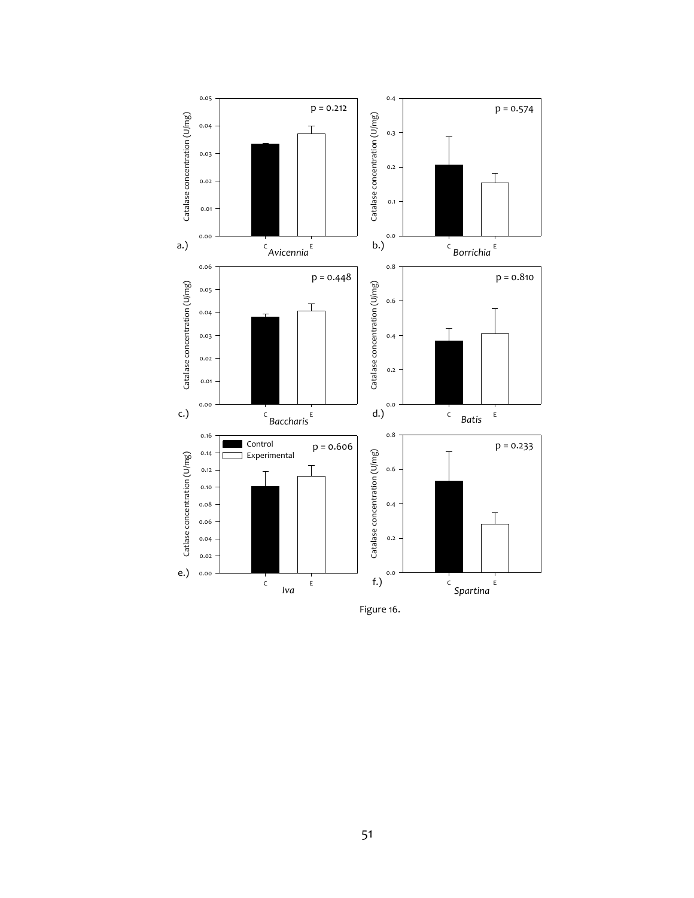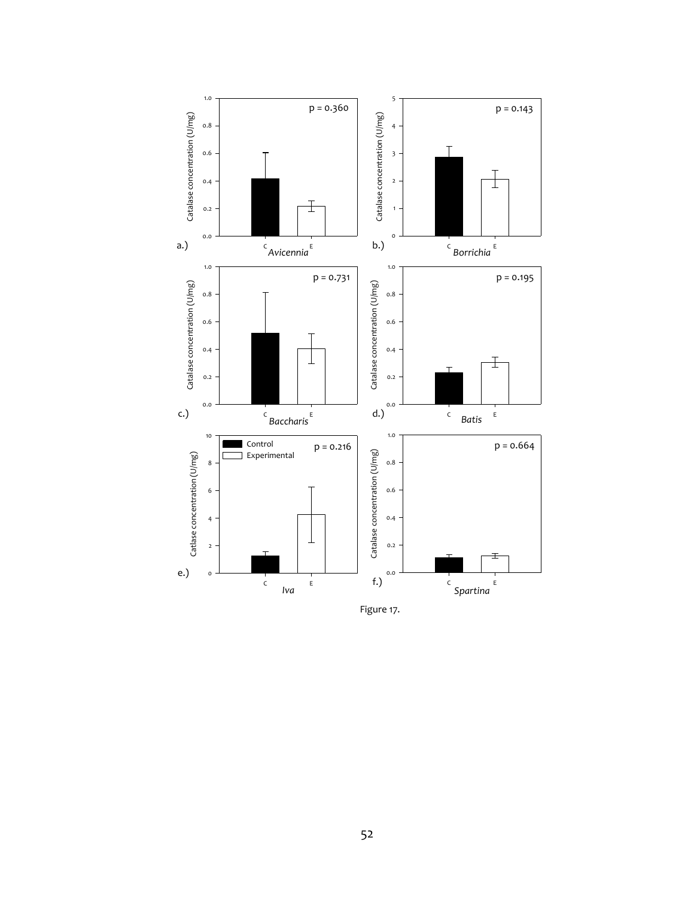

Figure 17.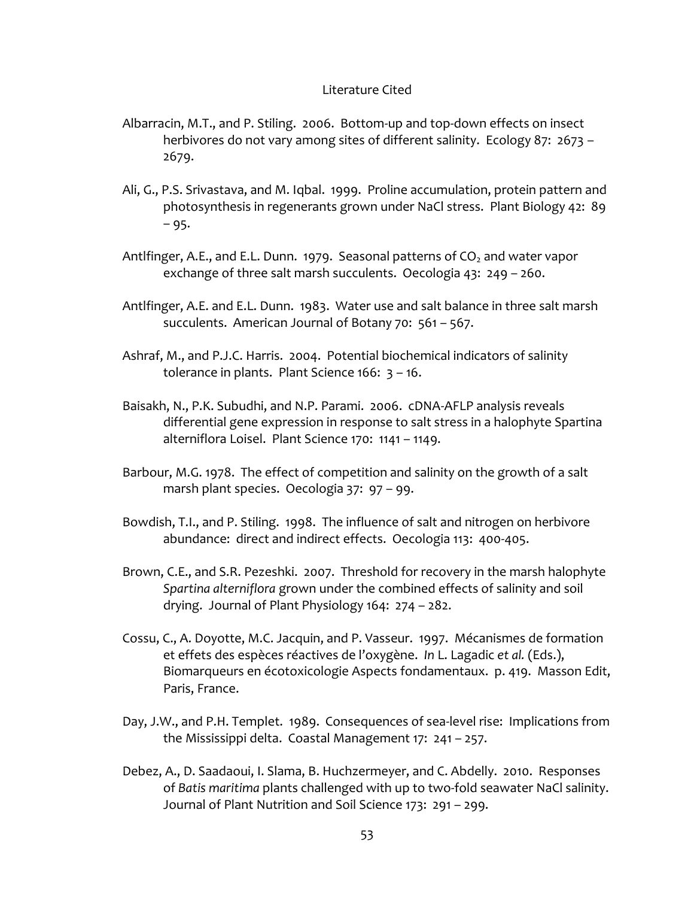# Literature Cited

- Albarracin, M.T., and P. Stiling. 2006. Bottom-up and top-down effects on insect herbivores do not vary among sites of different salinity. Ecology 87: 2673 – 2679.
- Ali, G., P.S. Srivastava, and M. Iqbal. 1999. Proline accumulation, protein pattern and photosynthesis in regenerants grown under NaCl stress. Plant Biology 42: 89 – 95.
- Antifinger, A.E., and E.L. Dunn. 1979. Seasonal patterns of  $CO<sub>2</sub>$  and water vapor exchange of three salt marsh succulents. Oecologia 43: 249 – 260.
- Antlfinger, A.E. and E.L. Dunn. 1983. Water use and salt balance in three salt marsh succulents. American Journal of Botany 70: 561 – 567.
- Ashraf, M., and P.J.C. Harris. 2004. Potential biochemical indicators of salinity tolerance in plants. Plant Science 166: 3 – 16.
- Baisakh, N., P.K. Subudhi, and N.P. Parami. 2006. cDNA-AFLP analysis reveals differential gene expression in response to salt stress in a halophyte Spartina alterniflora Loisel. Plant Science 170: 1141 – 1149.
- Barbour, M.G. 1978. The effect of competition and salinity on the growth of a salt marsh plant species. Oecologia 37: 97 – 99.
- Bowdish, T.I., and P. Stiling. 1998. The influence of salt and nitrogen on herbivore abundance: direct and indirect effects. Oecologia 113: 400-405.
- Brown, C.E., and S.R. Pezeshki. 2007. Threshold for recovery in the marsh halophyte *Spartina alterniflora* grown under the combined effects of salinity and soil drying. Journal of Plant Physiology 164: 274 – 282.
- Cossu, C., A. Doyotte, M.C. Jacquin, and P. Vasseur. 1997. Mécanismes de formation et effets des espèces réactives de l'oxygène. *In* L. Lagadic *et al.* (Eds.), Biomarqueurs en écotoxicologie Aspects fondamentaux. p. 419. Masson Edit, Paris, France.
- Day, J.W., and P.H. Templet. 1989. Consequences of sea-level rise: Implications from the Mississippi delta. Coastal Management 17: 241 – 257.
- Debez, A., D. Saadaoui, I. Slama, B. Huchzermeyer, and C. Abdelly. 2010. Responses of *Batis maritima* plants challenged with up to two-fold seawater NaCl salinity. Journal of Plant Nutrition and Soil Science 173: 291 – 299.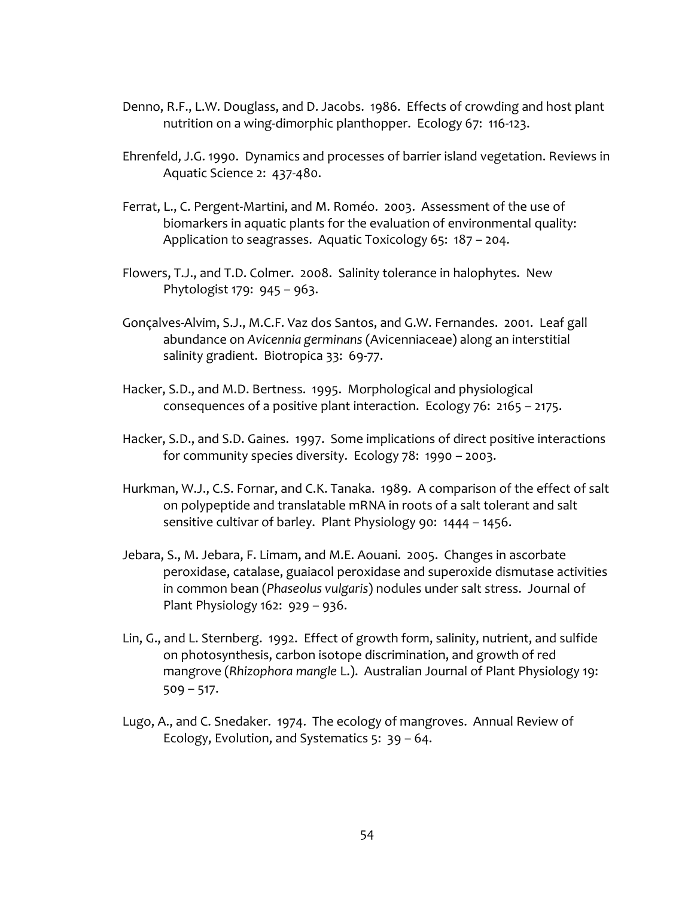- Denno, R.F., L.W. Douglass, and D. Jacobs. 1986. Effects of crowding and host plant nutrition on a wing-dimorphic planthopper. Ecology 67: 116-123.
- Ehrenfeld, J.G. 1990. Dynamics and processes of barrier island vegetation. Reviews in Aquatic Science 2: 437-480.
- Ferrat, L., C. Pergent-Martini, and M. Roméo. 2003. Assessment of the use of biomarkers in aquatic plants for the evaluation of environmental quality: Application to seagrasses. Aquatic Toxicology 65: 187 – 204.
- Flowers, T.J., and T.D. Colmer. 2008. Salinity tolerance in halophytes. New Phytologist 179: 945 – 963.
- Gonçalves-Alvim, S.J., M.C.F. Vaz dos Santos, and G.W. Fernandes. 2001. Leaf gall abundance on *Avicennia germinans* (Avicenniaceae) along an interstitial salinity gradient. Biotropica 33: 69-77.
- Hacker, S.D., and M.D. Bertness. 1995. Morphological and physiological consequences of a positive plant interaction. Ecology 76: 2165 – 2175.
- Hacker, S.D., and S.D. Gaines. 1997. Some implications of direct positive interactions for community species diversity. Ecology 78: 1990 – 2003.
- Hurkman, W.J., C.S. Fornar, and C.K. Tanaka. 1989. A comparison of the effect of salt on polypeptide and translatable mRNA in roots of a salt tolerant and salt sensitive cultivar of barley. Plant Physiology 90: 1444 – 1456.
- Jebara, S., M. Jebara, F. Limam, and M.E. Aouani. 2005. Changes in ascorbate peroxidase, catalase, guaiacol peroxidase and superoxide dismutase activities in common bean (*Phaseolus vulgaris*) nodules under salt stress. Journal of Plant Physiology 162: 929 – 936.
- Lin, G., and L. Sternberg. 1992. Effect of growth form, salinity, nutrient, and sulfide on photosynthesis, carbon isotope discrimination, and growth of red mangrove (*Rhizophora mangle* L.). Australian Journal of Plant Physiology 19: 509 – 517.
- Lugo, A., and C. Snedaker. 1974. The ecology of mangroves. Annual Review of Ecology, Evolution, and Systematics 5: 39 – 64.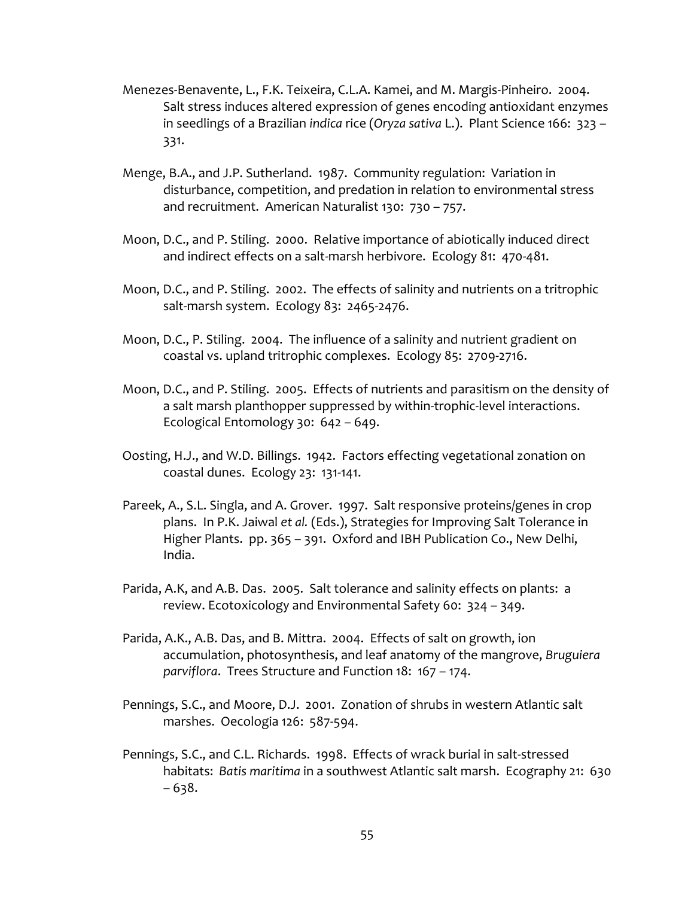- Menezes-Benavente, L., F.K. Teixeira, C.L.A. Kamei, and M. Margis-Pinheiro. 2004. Salt stress induces altered expression of genes encoding antioxidant enzymes in seedlings of a Brazilian *indica* rice (*Oryza sativa* L.). Plant Science 166: 323 – 331.
- Menge, B.A., and J.P. Sutherland. 1987. Community regulation: Variation in disturbance, competition, and predation in relation to environmental stress and recruitment. American Naturalist 130: 730 – 757.
- Moon, D.C., and P. Stiling. 2000. Relative importance of abiotically induced direct and indirect effects on a salt-marsh herbivore. Ecology 81: 470-481.
- Moon, D.C., and P. Stiling. 2002. The effects of salinity and nutrients on a tritrophic salt-marsh system. Ecology 83: 2465-2476.
- Moon, D.C., P. Stiling. 2004. The influence of a salinity and nutrient gradient on coastal vs. upland tritrophic complexes. Ecology 85: 2709-2716.
- Moon, D.C., and P. Stiling. 2005. Effects of nutrients and parasitism on the density of a salt marsh planthopper suppressed by within-trophic-level interactions. Ecological Entomology 30: 642 – 649.
- Oosting, H.J., and W.D. Billings. 1942. Factors effecting vegetational zonation on coastal dunes. Ecology 23: 131-141.
- Pareek, A., S.L. Singla, and A. Grover. 1997. Salt responsive proteins/genes in crop plans. In P.K. Jaiwal *et al.* (Eds.), Strategies for Improving Salt Tolerance in Higher Plants. pp. 365 – 391. Oxford and IBH Publication Co., New Delhi, India.
- Parida, A.K, and A.B. Das. 2005. Salt tolerance and salinity effects on plants: a review. Ecotoxicology and Environmental Safety 60: 324 – 349.
- Parida, A.K., A.B. Das, and B. Mittra. 2004. Effects of salt on growth, ion accumulation, photosynthesis, and leaf anatomy of the mangrove, *Bruguiera parviflora*. Trees Structure and Function 18: 167 – 174.
- Pennings, S.C., and Moore, D.J. 2001. Zonation of shrubs in western Atlantic salt marshes. Oecologia 126: 587-594.
- Pennings, S.C., and C.L. Richards. 1998. Effects of wrack burial in salt-stressed habitats: *Batis maritima* in a southwest Atlantic salt marsh. Ecography 21: 630 – 638.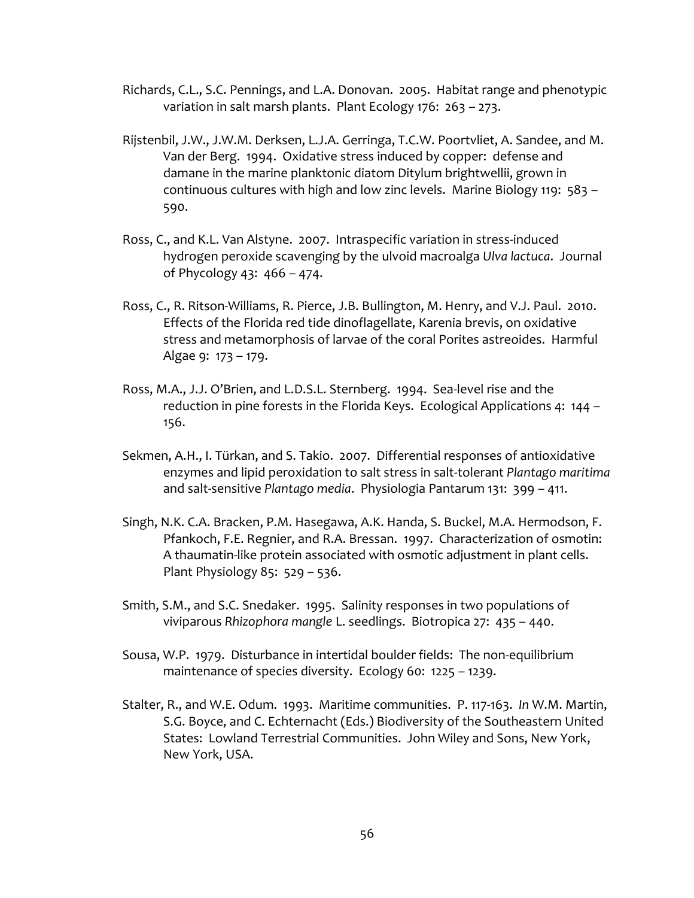- Richards, C.L., S.C. Pennings, and L.A. Donovan. 2005. Habitat range and phenotypic variation in salt marsh plants. Plant Ecology 176: 263 – 273.
- Rijstenbil, J.W., J.W.M. Derksen, L.J.A. Gerringa, T.C.W. Poortvliet, A. Sandee, and M. Van der Berg. 1994. Oxidative stress induced by copper: defense and damane in the marine planktonic diatom Ditylum brightwellii, grown in continuous cultures with high and low zinc levels. Marine Biology 119: 583 – 590.
- Ross, C., and K.L. Van Alstyne. 2007. Intraspecific variation in stress-induced hydrogen peroxide scavenging by the ulvoid macroalga *Ulva lactuca*. Journal of Phycology 43: 466 – 474.
- Ross, C., R. Ritson-Williams, R. Pierce, J.B. Bullington, M. Henry, and V.J. Paul. 2010. Effects of the Florida red tide dinoflagellate, Karenia brevis, on oxidative stress and metamorphosis of larvae of the coral Porites astreoides. Harmful Algae 9: 173 – 179.
- Ross, M.A., J.J. O'Brien, and L.D.S.L. Sternberg. 1994. Sea-level rise and the reduction in pine forests in the Florida Keys. Ecological Applications 4: 144 – 156.
- Sekmen, A.H., I. Türkan, and S. Takio. 2007. Differential responses of antioxidative enzymes and lipid peroxidation to salt stress in salt-tolerant *Plantago maritima* and salt-sensitive *Plantago media*. Physiologia Pantarum 131: 399 – 411.
- Singh, N.K. C.A. Bracken, P.M. Hasegawa, A.K. Handa, S. Buckel, M.A. Hermodson, F. Pfankoch, F.E. Regnier, and R.A. Bressan. 1997. Characterization of osmotin: A thaumatin-like protein associated with osmotic adjustment in plant cells. Plant Physiology 85: 529 – 536.
- Smith, S.M., and S.C. Snedaker. 1995. Salinity responses in two populations of viviparous *Rhizophora mangle* L. seedlings. Biotropica 27: 435 – 440.
- Sousa, W.P. 1979. Disturbance in intertidal boulder fields: The non-equilibrium maintenance of species diversity. Ecology 60: 1225 – 1239.
- Stalter, R., and W.E. Odum. 1993. Maritime communities. P. 117-163. *In* W.M. Martin, S.G. Boyce, and C. Echternacht (Eds.) Biodiversity of the Southeastern United States: Lowland Terrestrial Communities. John Wiley and Sons, New York, New York, USA.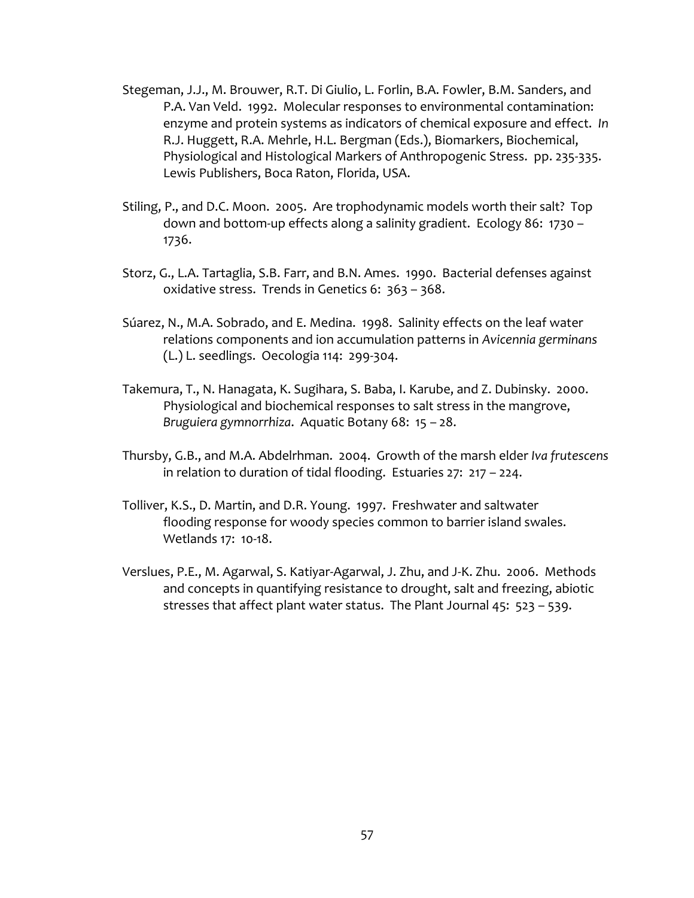- Stegeman, J.J., M. Brouwer, R.T. Di Giulio, L. Forlin, B.A. Fowler, B.M. Sanders, and P.A. Van Veld. 1992. Molecular responses to environmental contamination: enzyme and protein systems as indicators of chemical exposure and effect. *In* R.J. Huggett, R.A. Mehrle, H.L. Bergman (Eds.), Biomarkers, Biochemical, Physiological and Histological Markers of Anthropogenic Stress. pp. 235-335. Lewis Publishers, Boca Raton, Florida, USA.
- Stiling, P., and D.C. Moon. 2005. Are trophodynamic models worth their salt? Top down and bottom-up effects along a salinity gradient. Ecology 86: 1730 – 1736.
- Storz, G., L.A. Tartaglia, S.B. Farr, and B.N. Ames. 1990. Bacterial defenses against oxidative stress. Trends in Genetics 6: 363 – 368.
- Súarez, N., M.A. Sobrado, and E. Medina. 1998. Salinity effects on the leaf water relations components and ion accumulation patterns in *Avicennia germinans* (L.) L. seedlings. Oecologia 114: 299-304.
- Takemura, T., N. Hanagata, K. Sugihara, S. Baba, I. Karube, and Z. Dubinsky. 2000. Physiological and biochemical responses to salt stress in the mangrove, *Bruguiera gymnorrhiza*. Aquatic Botany 68: 15 – 28.
- Thursby, G.B., and M.A. Abdelrhman. 2004. Growth of the marsh elder *Iva frutescens* in relation to duration of tidal flooding. Estuaries 27: 217 – 224.
- Tolliver, K.S., D. Martin, and D.R. Young. 1997. Freshwater and saltwater flooding response for woody species common to barrier island swales. Wetlands 17: 10-18.
- Verslues, P.E., M. Agarwal, S. Katiyar-Agarwal, J. Zhu, and J-K. Zhu. 2006. Methods and concepts in quantifying resistance to drought, salt and freezing, abiotic stresses that affect plant water status. The Plant Journal 45: 523 – 539.